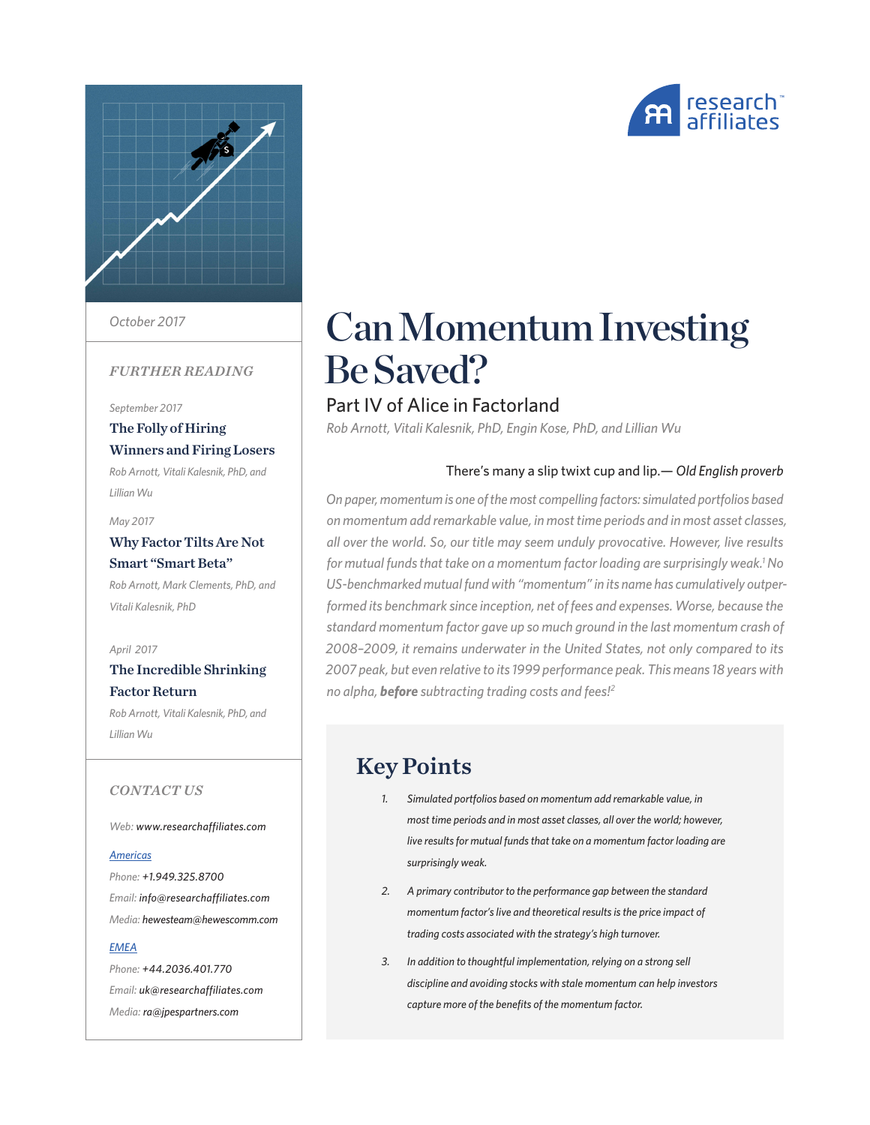



*October 2017*

#### *FURTHER READING*

*September 201[7](https://www.researchaffiliates.com/content/ra/na/en_us/publications/articles/595-forecasting-factor-and-smart-beta-returns.html)*

### [The Folly of Hiring](https://www.researchaffiliates.com/content/ra/na/en_us/publications/articles/595-forecasting-factor-and-smart-beta-returns.html)  [Winners and Firing Losers](https://www.researchaffiliates.com/content/ra/na/en_us/publications/articles/595-forecasting-factor-and-smart-beta-returns.html)

*[Rob Arnott, Vitali Kalesnik, PhD,](https://www.researchaffiliates.com/content/ra/na/en_us/publications/articles/595-forecasting-factor-and-smart-beta-returns.html) and Lillian Wu*

*May 201[7](https://www.researchaffiliates.com/content/ra/na/en_us/publications/articles/616-which-rafi-index-strategy-is-right-for-you.html)*

## [Why Factor Tilts Are Not](https://www.researchaffiliates.com/content/ra/na/en_us/publications/articles/616-which-rafi-index-strategy-is-right-for-you.html)  [Smart "Smart Beta"](https://www.researchaffiliates.com/content/ra/na/en_us/publications/articles/616-which-rafi-index-strategy-is-right-for-you.html)

*[Rob Arnott, Mark Clements, PhD, and](https://www.researchaffiliates.com/content/ra/na/en_us/publications/articles/616-which-rafi-index-strategy-is-right-for-you.html)  [Vitali Kalesnik, PhD](https://www.researchaffiliates.com/content/ra/na/en_us/publications/articles/616-which-rafi-index-strategy-is-right-for-you.html)*

#### *April 2017*

### [The Incredible Shrinking](https://www.researchaffiliates.com/content/ra/na/en_us/publications/articles/616-which-rafi-index-strategy-is-right-for-you.html)  [Factor Return](https://www.researchaffiliates.com/content/ra/na/en_us/publications/articles/616-which-rafi-index-strategy-is-right-for-you.html)

*Rob Arnott, Vitali Kalesnik, PhD, and Lillian Wu*

#### *CONTACT US*

*Web: www.researchaffiliates.com*

#### *Americas*

*Phone: +1.949.325.8700 Email: info@researchaffiliates.com Media: hewesteam@hewescomm.com*

#### *EMEA*

*Phone: +44.2036.401.770 Email: uk@researchaffiliates.com Media: ra@jpespartners.com*

# Can Momentum Investing Be Saved?

## Part IV of Alice in Factorland

*Rob Arnott, Vitali Kalesnik, PhD, Engin Kose, PhD, and Lillian Wu*

#### There's many a slip twixt cup and lip.— *Old English proverb*

*On paper, momentum is one of the most compelling factors: simulated portfolios based on momentum add remarkable value, in most time periods and in most asset classes, all over the world. So, our title may seem unduly provocative. However, live results for mutual funds that take on a momentum factor loading are surprisingly weak.1 No US-benchmarked mutual fund with "momentum" in its name has cumulatively outperformed its benchmark since inception, net of fees and expenses. Worse, because the standard momentum factor gave up so much ground in the last momentum crash of 2008–2009, it remains underwater in the United States, not only compared to its 2007 peak, but even relative to its 1999 performance peak. This means 18 years with no alpha, before subtracting trading costs and fees!2*

## Key Points

- *1. Simulated portfolios based on momentum add remarkable value, in most time periods and in most asset classes, all over the world; however, live results for mutual funds that take on a momentum factor loading are surprisingly weak.*
- *2. A primary contributor to the performance gap between the standard momentum factor's live and theoretical results is the price impact of trading costs associated with the strategy's high turnover.*
- *3. In addition to thoughtful implementation, relying on a strong sell discipline and avoiding stocks with stale momentum can help investors capture more of the benefits of the momentum factor.*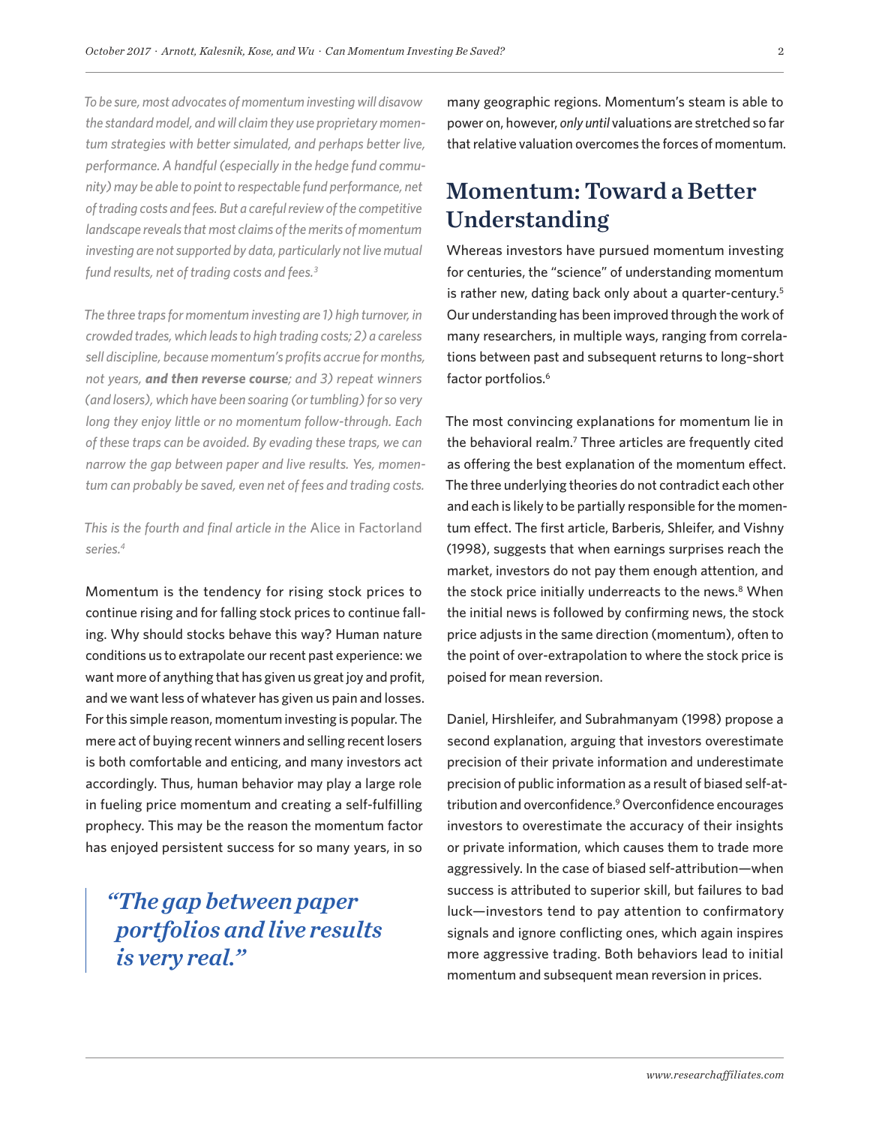*To be sure, most advocates of momentum investing will disavow the standard model, and will claim they use proprietary momentum strategies with better simulated, and perhaps better live, performance. A handful (especially in the hedge fund community) may be able to point to respectable fund performance, net of trading costs and fees. But a careful review of the competitive landscape reveals that most claims of the merits of momentum investing are not supported by data, particularly not live mutual fund results, net of trading costs and fees.3*

*The three traps for momentum investing are 1) high turnover, in crowded trades, which leads to high trading costs; 2) a careless sell discipline, because momentum's profits accrue for months, not years, and then reverse course; and 3) repeat winners (and losers), which have been soaring (or tumbling) for so very long they enjoy little or no momentum follow-through. Each of these traps can be avoided. By evading these traps, we can narrow the gap between paper and live results. Yes, momentum can probably be saved, even net of fees and trading costs.*

*This is the fourth and final article in the* Alice in Factorland *series.4*

Momentum is the tendency for rising stock prices to continue rising and for falling stock prices to continue falling. Why should stocks behave this way? Human nature conditions us to extrapolate our recent past experience: we want more of anything that has given us great joy and profit, and we want less of whatever has given us pain and losses. For this simple reason, momentum investing is popular. The mere act of buying recent winners and selling recent losers is both comfortable and enticing, and many investors act accordingly. Thus, human behavior may play a large role in fueling price momentum and creating a self-fulfilling prophecy. This may be the reason the momentum factor has enjoyed persistent success for so many years, in so

# *"The gap between paper portfolios and live results is very real."*

many geographic regions. Momentum's steam is able to power on, however, *only until* valuations are stretched so far that relative valuation overcomes the forces of momentum.

# Momentum: Toward a Better Understanding

Whereas investors have pursued momentum investing for centuries, the "science" of understanding momentum is rather new, dating back only about a quarter-century.<sup>5</sup> Our understanding has been improved through the work of many researchers, in multiple ways, ranging from correlations between past and subsequent returns to long–short factor portfolios.6

The most convincing explanations for momentum lie in the behavioral realm.<sup>7</sup> Three articles are frequently cited as offering the best explanation of the momentum effect. The three underlying theories do not contradict each other and each is likely to be partially responsible for the momentum effect. The first article, Barberis, Shleifer, and Vishny (1998), suggests that when earnings surprises reach the market, investors do not pay them enough attention, and the stock price initially underreacts to the news.<sup>8</sup> When the initial news is followed by confirming news, the stock price adjusts in the same direction (momentum), often to the point of over-extrapolation to where the stock price is poised for mean reversion.

Daniel, Hirshleifer, and Subrahmanyam (1998) propose a second explanation, arguing that investors overestimate precision of their private information and underestimate precision of public information as a result of biased self-attribution and overconfidence.9 Overconfidence encourages investors to overestimate the accuracy of their insights or private information, which causes them to trade more aggressively. In the case of biased self-attribution—when success is attributed to superior skill, but failures to bad luck—investors tend to pay attention to confirmatory signals and ignore conflicting ones, which again inspires more aggressive trading. Both behaviors lead to initial momentum and subsequent mean reversion in prices.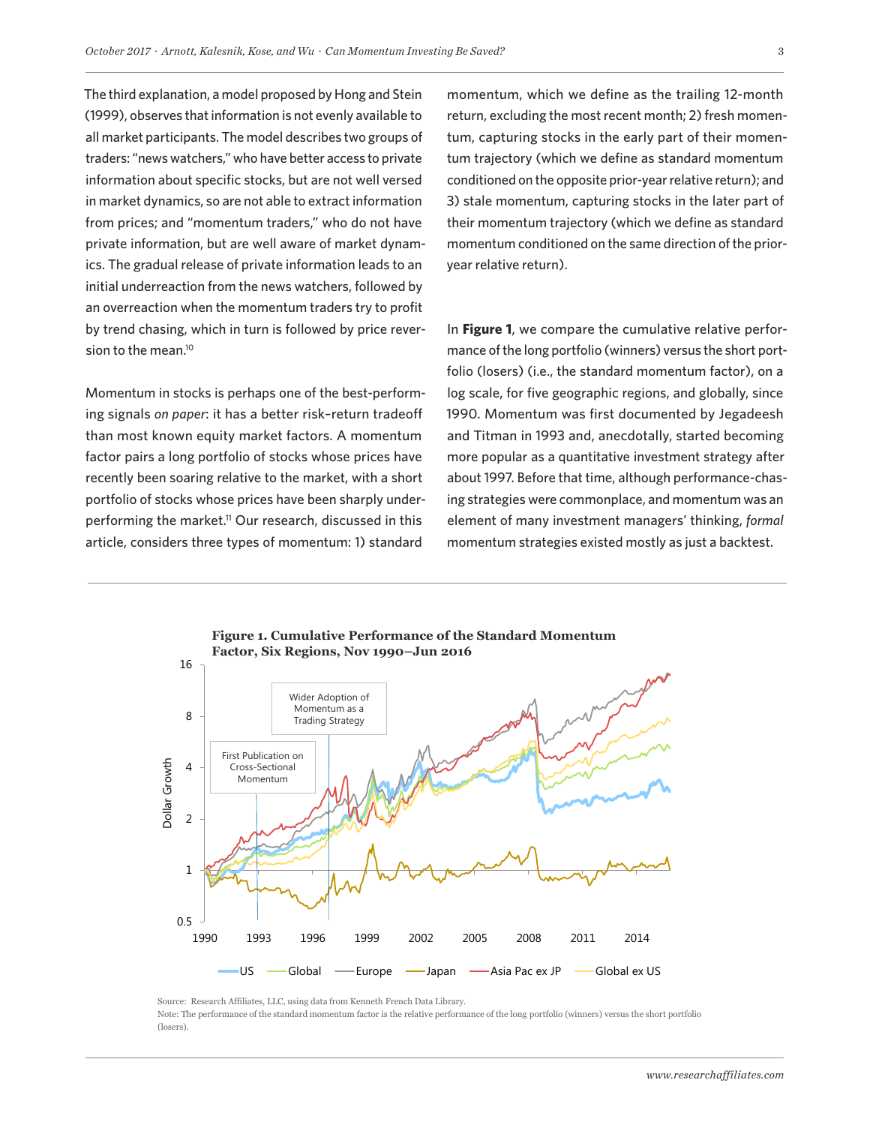The third explanation, a model proposed by Hong and Stein (1999), observes that information is not evenly available to all market participants. The model describes two groups of traders: "news watchers," who have better access to private information about specific stocks, but are not well versed in market dynamics, so are not able to extract information from prices; and "momentum traders," who do not have private information, but are well aware of market dynamics. The gradual release of private information leads to an initial underreaction from the news watchers, followed by an overreaction when the momentum traders try to profit by trend chasing, which in turn is followed by price reversion to the mean.<sup>10</sup>

Momentum in stocks is perhaps one of the best-performing signals *on paper*: it has a better risk–return tradeoff than most known equity market factors. A momentum factor pairs a long portfolio of stocks whose prices have recently been soaring relative to the market, with a short portfolio of stocks whose prices have been sharply underperforming the market.<sup>11</sup> Our research, discussed in this article, considers three types of momentum: 1) standard

momentum, which we define as the trailing 12-month return, excluding the most recent month; 2) fresh momentum, capturing stocks in the early part of their momentum trajectory (which we define as standard momentum conditioned on the opposite prior-year relative return); and 3) stale momentum, capturing stocks in the later part of their momentum trajectory (which we define as standard momentum conditioned on the same direction of the prioryear relative return).

In **Figure 1**, we compare the cumulative relative performance of the long portfolio (winners) versus the short portfolio (losers) (i.e., the standard momentum factor), on a log scale, for five geographic regions, and globally, since 1990. Momentum was first documented by Jegadeesh and Titman in 1993 and, anecdotally, started becoming more popular as a quantitative investment strategy after about 1997. Before that time, although performance-chasing strategies were commonplace, and momentum was an element of many investment managers' thinking, *formal* momentum strategies existed mostly as just a backtest.



Source: Research Affiliates, LLC, using data from Kenneth French Data Library. Note: The performance of the standard momentum factor is the relative performance of the long portfolio (winners) versus the short portfolio (losers).

Any use of the above content is subject to all important legal disclosures, disclosures, and terms of use found at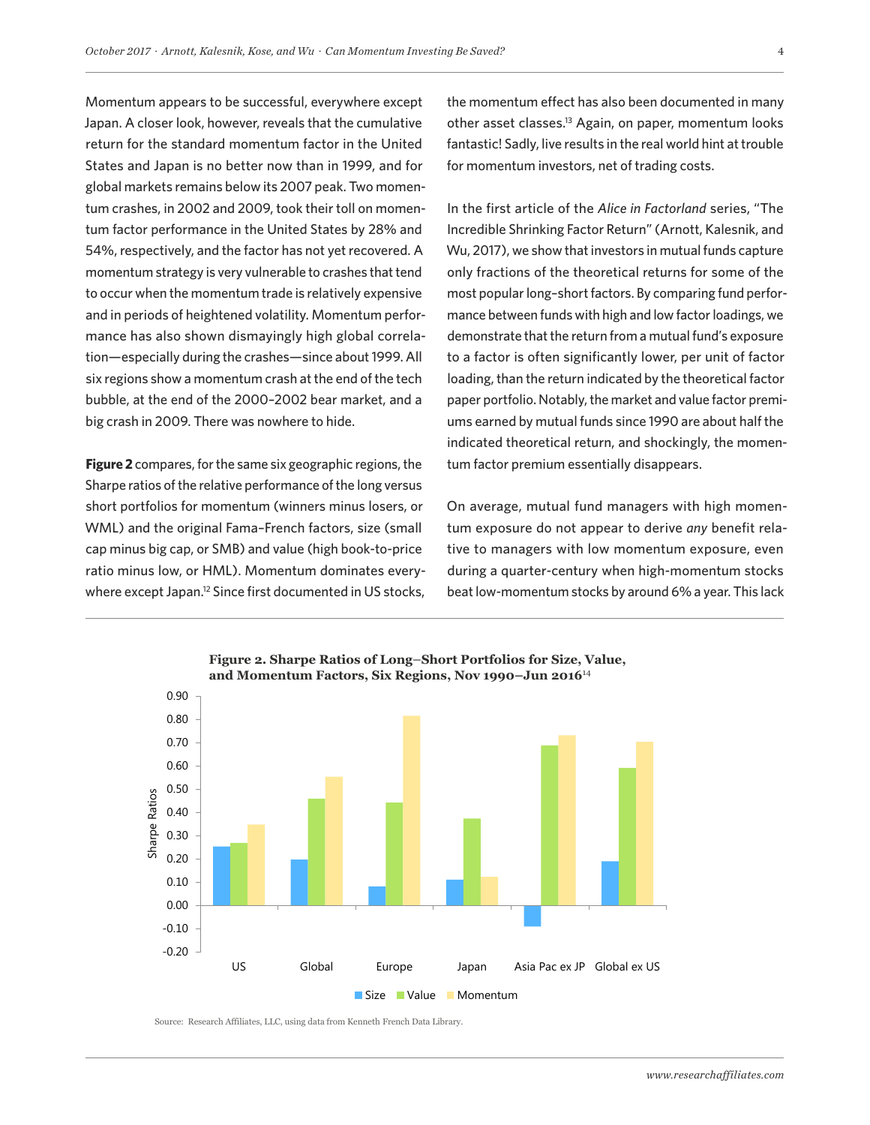Momentum appears to be successful, everywhere except Japan. A closer look, however, reveals that the cumulative return for the standard momentum factor in the United States and Japan is no better now than in 1999, and for global markets remains below its 2007 peak. Two momentum crashes, in 2002 and 2009, took their toll on momentum factor performance in the United States by 28% and 54%, respectively, and the factor has not yet recovered. A momentum strategy is very vulnerable to crashes that tend to occur when the momentum trade is relatively expensive and in periods of heightened volatility. Momentum performance has also shown dismayingly high global correlation—especially during the crashes—since about 1999. All six regions show a momentum crash at the end of the tech bubble, at the end of the 2000–2002 bear market, and a big crash in 2009. There was nowhere to hide.

**Figure 2** compares, for the same six geographic regions, the Sharpe ratios of the relative performance of the long versus short portfolios for momentum (winners minus losers, or WML) and the original Fama–French factors, size (small cap minus big cap, or SMB) and value (high book-to-price ratio minus low, or HML). Momentum dominates everywhere except Japan.12 Since first documented in US stocks, the momentum effect has also been documented in many other asset classes.13 Again, on paper, momentum looks fantastic! Sadly, live results in the real world hint at trouble for momentum investors, net of trading costs.

In the first article of the *Alice in Factorland* series, "The Incredible Shrinking Factor Return" (Arnott, Kalesnik, and Wu, 2017), we show that investors in mutual funds capture only fractions of the theoretical returns for some of the most popular long–short factors. By comparing fund performance between funds with high and low factor loadings, we demonstrate that the return from a mutual fund's exposure to a factor is often significantly lower, per unit of factor loading, than the return indicated by the theoretical factor paper portfolio. Notably, the market and value factor premiums earned by mutual funds since 1990 are about half the indicated theoretical return, and shockingly, the momentum factor premium essentially disappears.

On average, mutual fund managers with high momentum exposure do not appear to derive *any* benefit relative to managers with low momentum exposure, even during a quarter-century when high-momentum stocks beat low-momentum stocks by around 6% a year. This lack



Source: Research Affiliates, LLC, using data from Kenneth French Data Library.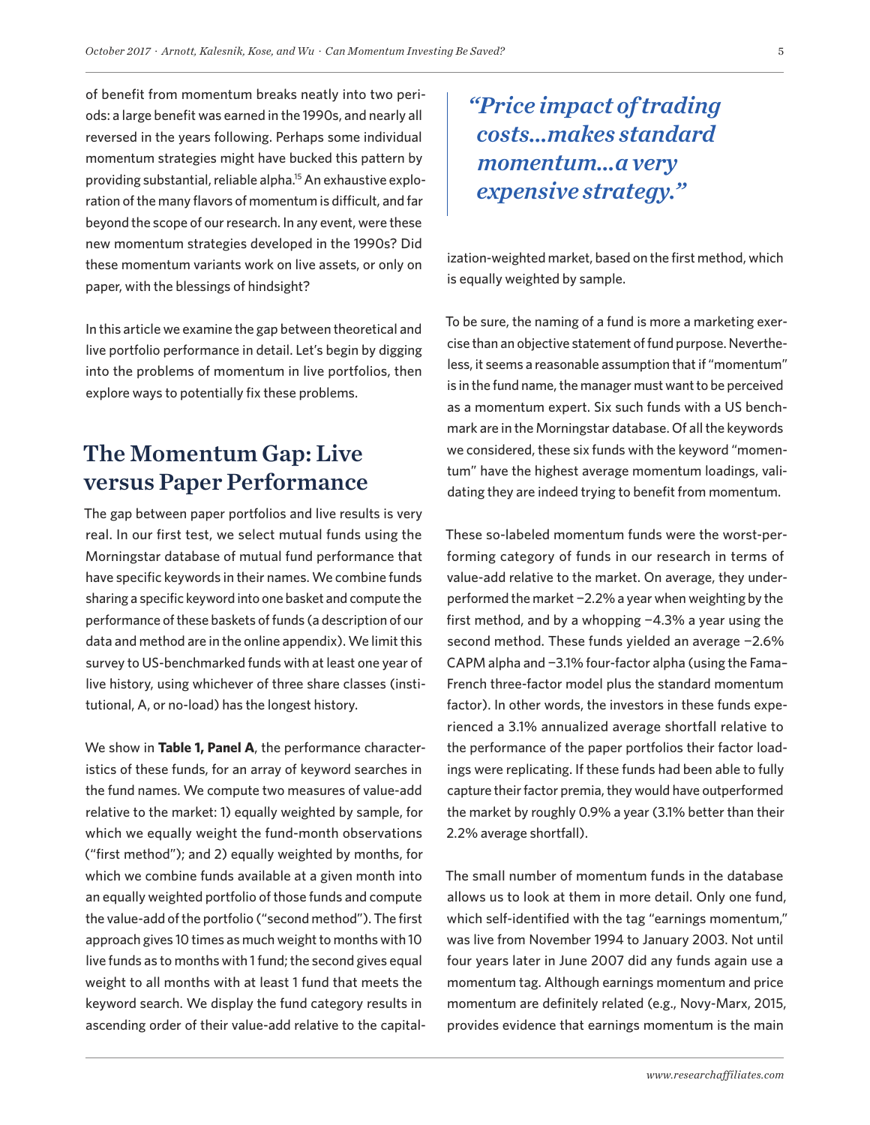of benefit from momentum breaks neatly into two periods: a large benefit was earned in the 1990s, and nearly all reversed in the years following. Perhaps some individual momentum strategies might have bucked this pattern by providing substantial, reliable alpha.<sup>15</sup> An exhaustive exploration of the many flavors of momentum is difficult, and far beyond the scope of our research. In any event, were these new momentum strategies developed in the 1990s? Did these momentum variants work on live assets, or only on paper, with the blessings of hindsight?

In this article we examine the gap between theoretical and live portfolio performance in detail. Let's begin by digging into the problems of momentum in live portfolios, then explore ways to potentially fix these problems.

# The Momentum Gap: Live versus Paper Performance

The gap between paper portfolios and live results is very real. In our first test, we select mutual funds using the Morningstar database of mutual fund performance that have specific keywords in their names. We combine funds sharing a specific keyword into one basket and compute the performance of these baskets of funds (a description of our data and method are in the online appendix). We limit this survey to US-benchmarked funds with at least one year of live history, using whichever of three share classes (institutional, A, or no-load) has the longest history.

We show in **Table 1, Panel A**, the performance characteristics of these funds, for an array of keyword searches in the fund names. We compute two measures of value-add relative to the market: 1) equally weighted by sample, for which we equally weight the fund-month observations ("first method"); and 2) equally weighted by months, for which we combine funds available at a given month into an equally weighted portfolio of those funds and compute the value-add of the portfolio ("second method"). The first approach gives 10 times as much weight to months with 10 live funds as to months with 1 fund; the second gives equal weight to all months with at least 1 fund that meets the keyword search. We display the fund category results in ascending order of their value-add relative to the capital*"Price impact of trading costs…makes standard momentum…a very expensive strategy."*

ization-weighted market, based on the first method, which is equally weighted by sample.

To be sure, the naming of a fund is more a marketing exercise than an objective statement of fund purpose. Nevertheless, it seems a reasonable assumption that if "momentum" is in the fund name, the manager must want to be perceived as a momentum expert. Six such funds with a US benchmark are in the Morningstar database. Of all the keywords we considered, these six funds with the keyword "momentum" have the highest average momentum loadings, validating they are indeed trying to benefit from momentum.

These so-labeled momentum funds were the worst-performing category of funds in our research in terms of value-add relative to the market. On average, they underperformed the market −2.2% a year when weighting by the first method, and by a whopping −4.3% a year using the second method. These funds yielded an average −2.6% CAPM alpha and −3.1% four-factor alpha (using the Fama– French three-factor model plus the standard momentum factor). In other words, the investors in these funds experienced a 3.1% annualized average shortfall relative to the performance of the paper portfolios their factor loadings were replicating. If these funds had been able to fully capture their factor premia, they would have outperformed the market by roughly 0.9% a year (3.1% better than their 2.2% average shortfall).

The small number of momentum funds in the database allows us to look at them in more detail. Only one fund, which self-identified with the tag "earnings momentum," was live from November 1994 to January 2003. Not until four years later in June 2007 did any funds again use a momentum tag. Although earnings momentum and price momentum are definitely related (e.g., Novy-Marx, 2015, provides evidence that earnings momentum is the main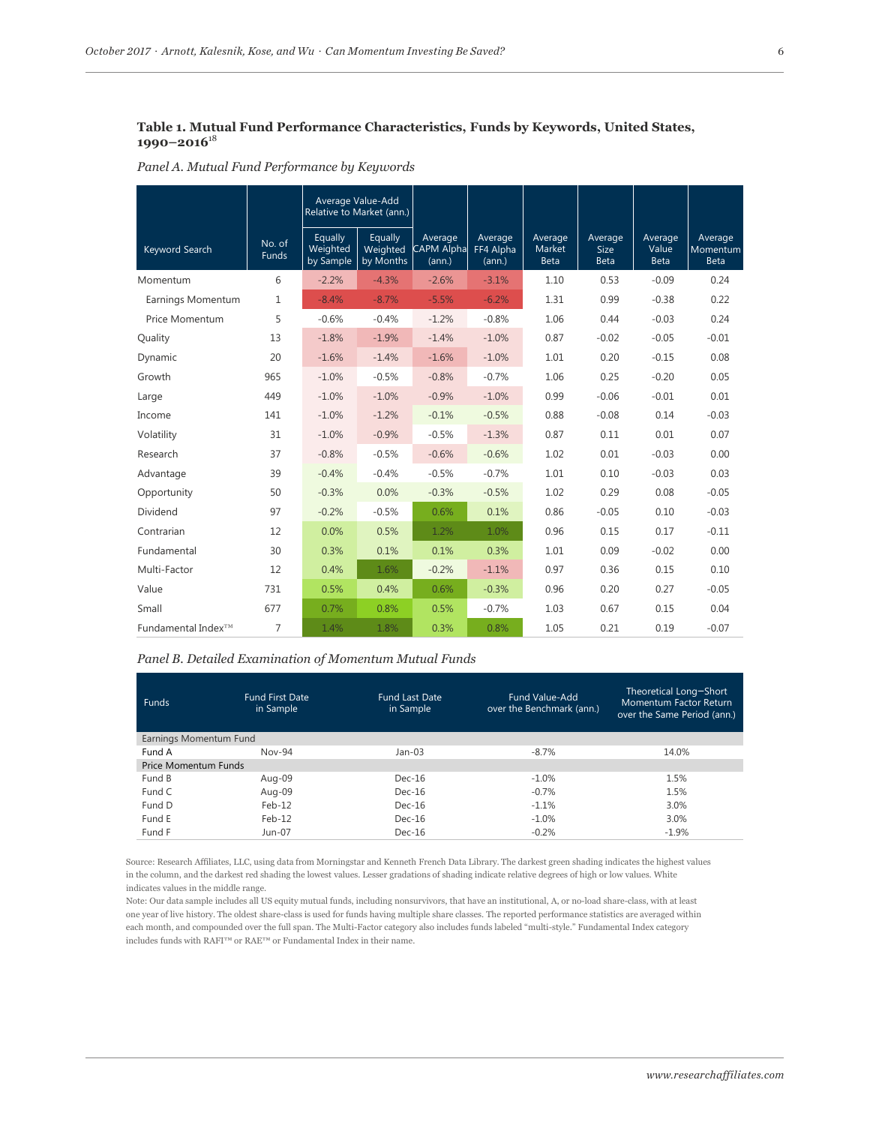#### **Table 1. Mutual Fund Performance Characteristics, Funds by Keywords, United States, 1990–2016**<sup>18</sup>

|                                 |                 | Average Value-Add<br>Relative to Market (ann.) |                                  |                                 |                                |                                  |                                       |                                 |                                    |
|---------------------------------|-----------------|------------------------------------------------|----------------------------------|---------------------------------|--------------------------------|----------------------------------|---------------------------------------|---------------------------------|------------------------------------|
| Keyword Search                  | No. of<br>Funds | Equally<br>Weighted<br>by Sample               | Equally<br>Weighted<br>by Months | Average<br>CAPM Alpha<br>(ann.) | Average<br>FF4 Alpha<br>(ann.) | Average<br>Market<br><b>Beta</b> | Average<br><b>Size</b><br><b>Beta</b> | Average<br>Value<br><b>Beta</b> | Average<br>Momentum<br><b>Beta</b> |
| Momentum                        | 6               | $-2.2%$                                        | $-4.3%$                          | $-2.6%$                         | $-3.1%$                        | 1.10                             | 0.53                                  | $-0.09$                         | 0.24                               |
| Earnings Momentum               | 1               | $-8.4%$                                        | $-8.7%$                          | $-5.5%$                         | $-6.2%$                        | 1.31                             | 0.99                                  | $-0.38$                         | 0.22                               |
| Price Momentum                  | 5               | $-0.6%$                                        | $-0.4%$                          | $-1.2%$                         | $-0.8%$                        | 1.06                             | 0.44                                  | $-0.03$                         | 0.24                               |
| Quality                         | 13              | $-1.8%$                                        | $-1.9%$                          | $-1.4%$                         | $-1.0%$                        | 0.87                             | $-0.02$                               | $-0.05$                         | $-0.01$                            |
| Dynamic                         | 20              | $-1.6%$                                        | $-1.4%$                          | $-1.6%$                         | $-1.0%$                        | 1.01                             | 0.20                                  | $-0.15$                         | 0.08                               |
| Growth                          | 965             | $-1.0%$                                        | $-0.5%$                          | $-0.8%$                         | $-0.7%$                        | 1.06                             | 0.25                                  | $-0.20$                         | 0.05                               |
| Large                           | 449             | $-1.0%$                                        | $-1.0%$                          | $-0.9%$                         | $-1.0%$                        | 0.99                             | $-0.06$                               | $-0.01$                         | 0.01                               |
| Income                          | 141             | $-1.0%$                                        | $-1.2%$                          | $-0.1%$                         | $-0.5%$                        | 0.88                             | $-0.08$                               | 0.14                            | $-0.03$                            |
| Volatility                      | 31              | $-1.0%$                                        | $-0.9%$                          | $-0.5%$                         | $-1.3%$                        | 0.87                             | 0.11                                  | 0.01                            | 0.07                               |
| Research                        | 37              | $-0.8%$                                        | $-0.5%$                          | $-0.6%$                         | $-0.6%$                        | 1.02                             | 0.01                                  | $-0.03$                         | 0.00                               |
| Advantage                       | 39              | $-0.4%$                                        | $-0.4%$                          | $-0.5%$                         | $-0.7%$                        | 1.01                             | 0.10                                  | $-0.03$                         | 0.03                               |
| Opportunity                     | 50              | $-0.3%$                                        | 0.0%                             | $-0.3%$                         | $-0.5%$                        | 1.02                             | 0.29                                  | 0.08                            | $-0.05$                            |
| Dividend                        | 97              | $-0.2%$                                        | $-0.5%$                          | 0.6%                            | 0.1%                           | 0.86                             | $-0.05$                               | 0.10                            | $-0.03$                            |
| Contrarian                      | 12              | 0.0%                                           | 0.5%                             | 1.2%                            | 1.0%                           | 0.96                             | 0.15                                  | 0.17                            | $-0.11$                            |
| Fundamental                     | 30              | 0.3%                                           | 0.1%                             | 0.1%                            | 0.3%                           | 1.01                             | 0.09                                  | $-0.02$                         | 0.00                               |
| Multi-Factor                    | 12              | 0.4%                                           | 1.6%                             | $-0.2%$                         | $-1.1%$                        | 0.97                             | 0.36                                  | 0.15                            | 0.10                               |
| Value                           | 731             | 0.5%                                           | 0.4%                             | 0.6%                            | $-0.3%$                        | 0.96                             | 0.20                                  | 0.27                            | $-0.05$                            |
| Small                           | 677             | 0.7%                                           | 0.8%                             | 0.5%                            | $-0.7%$                        | 1.03                             | 0.67                                  | 0.15                            | 0.04                               |
| Fundamental Index <sup>TM</sup> | 7               | 1.4%                                           | 1.8%                             | 0.3%                            | 0.8%                           | 1.05                             | 0.21                                  | 0.19                            | $-0.07$                            |

#### *Panel A. Mutual Fund Performance by Keywords*

#### *Panel B. Detailed Examination of Momentum Mutual Funds*

| <b>Funds</b>           | <b>Fund First Date</b><br>in Sample | <b>Fund Last Date</b><br>in Sample | <b>Fund Value-Add</b><br>over the Benchmark (ann.) | Theoretical Long-Short<br>Momentum Factor Return<br>over the Same Period (ann.) |
|------------------------|-------------------------------------|------------------------------------|----------------------------------------------------|---------------------------------------------------------------------------------|
| Earnings Momentum Fund |                                     |                                    |                                                    |                                                                                 |
| Fund A                 | $Nov-94$                            | $Jan-03$                           | $-8.7\%$                                           | 14.0%                                                                           |
| Price Momentum Funds   |                                     |                                    |                                                    |                                                                                 |
| Fund B                 | Aug-09                              | $Dec-16$                           | $-1.0\%$                                           | 1.5%                                                                            |
| Fund C                 | Aug-09                              | $Dec-16$                           | $-0.7%$                                            | 1.5%                                                                            |
| Fund D                 | $Feh-12$                            | $Dec-16$                           | $-1.1%$                                            | 3.0%                                                                            |
| Fund E                 | $Feh-12$                            | $Dec-16$                           | $-1.0%$                                            | 3.0%                                                                            |
| Fund F                 | Jun-07                              | $Dec-16$                           | $-0.2%$                                            | $-1.9%$                                                                         |

Source: Research Affiliates, LLC, using data from Morningstar and Kenneth French Data Library. The darkest green shading indicates the highest values in the column, and the darkest red shading the lowest values. Lesser gradations of shading indicate relative degrees of high or low values. White indicates values in the middle range.

Note: Our data sample includes all US equity mutual funds, including nonsurvivors, that have an institutional, A, or no-load share-class, with at least one year of live history. The oldest share-class is used for funds having multiple share classes. The reported performance statistics are averaged within each month, and compounded over the full span. The Multi-Factor category also includes funds labeled "multi-style." Fundamental Index category includes funds with RAFI™ or RAE™ or Fundamental Index in their name.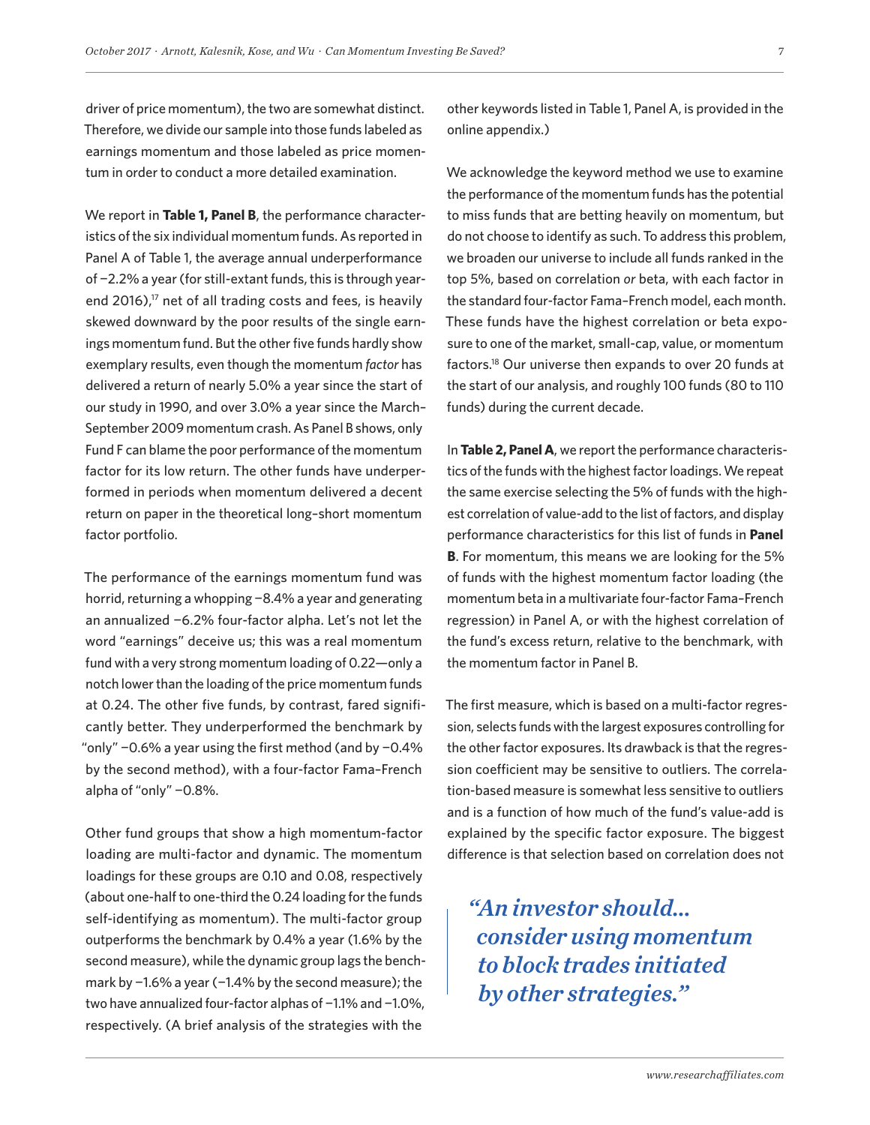driver of price momentum), the two are somewhat distinct. Therefore, we divide our sample into those funds labeled as earnings momentum and those labeled as price momentum in order to conduct a more detailed examination.

We report in **Table 1, Panel B**, the performance characteristics of the six individual momentum funds. As reported in Panel A of Table 1, the average annual underperformance of −2.2% a year (for still-extant funds, this is through yearend 2016),<sup>17</sup> net of all trading costs and fees, is heavily skewed downward by the poor results of the single earnings momentum fund. But the other five funds hardly show exemplary results, even though the momentum *factor* has delivered a return of nearly 5.0% a year since the start of our study in 1990, and over 3.0% a year since the March– September 2009 momentum crash. As Panel B shows, only Fund F can blame the poor performance of the momentum factor for its low return. The other funds have underperformed in periods when momentum delivered a decent return on paper in the theoretical long–short momentum factor portfolio.

The performance of the earnings momentum fund was horrid, returning a whopping −8.4% a year and generating an annualized −6.2% four-factor alpha. Let's not let the word "earnings" deceive us; this was a real momentum fund with a very strong momentum loading of 0.22—only a notch lower than the loading of the price momentum funds at 0.24. The other five funds, by contrast, fared significantly better. They underperformed the benchmark by "only" −0.6% a year using the first method (and by −0.4% by the second method), with a four-factor Fama–French alpha of "only" −0.8%.

Other fund groups that show a high momentum-factor loading are multi-factor and dynamic. The momentum loadings for these groups are 0.10 and 0.08, respectively (about one-half to one-third the 0.24 loading for the funds self-identifying as momentum). The multi-factor group outperforms the benchmark by 0.4% a year (1.6% by the second measure), while the dynamic group lags the benchmark by −1.6% a year (−1.4% by the second measure); the two have annualized four-factor alphas of −1.1% and −1.0%, respectively. (A brief analysis of the strategies with the

other keywords listed in Table 1, Panel A, is provided in the online appendix.)

We acknowledge the keyword method we use to examine the performance of the momentum funds has the potential to miss funds that are betting heavily on momentum, but do not choose to identify as such. To address this problem, we broaden our universe to include all funds ranked in the top 5%, based on correlation *or* beta, with each factor in the standard four-factor Fama–French model, each month. These funds have the highest correlation or beta exposure to one of the market, small-cap, value, or momentum factors.18 Our universe then expands to over 20 funds at the start of our analysis, and roughly 100 funds (80 to 110 funds) during the current decade.

In **Table 2, Panel A**, we report the performance characteristics of the funds with the highest factor loadings. We repeat the same exercise selecting the 5% of funds with the highest correlation of value-add to the list of factors, and display performance characteristics for this list of funds in **Panel B**. For momentum, this means we are looking for the 5% of funds with the highest momentum factor loading (the momentum beta in a multivariate four-factor Fama–French regression) in Panel A, or with the highest correlation of the fund's excess return, relative to the benchmark, with the momentum factor in Panel B.

The first measure, which is based on a multi-factor regression, selects funds with the largest exposures controlling for the other factor exposures. Its drawback is that the regression coefficient may be sensitive to outliers. The correlation-based measure is somewhat less sensitive to outliers and is a function of how much of the fund's value-add is explained by the specific factor exposure. The biggest difference is that selection based on correlation does not

*"An investor should… consider using momentum to block trades initiated by other strategies."*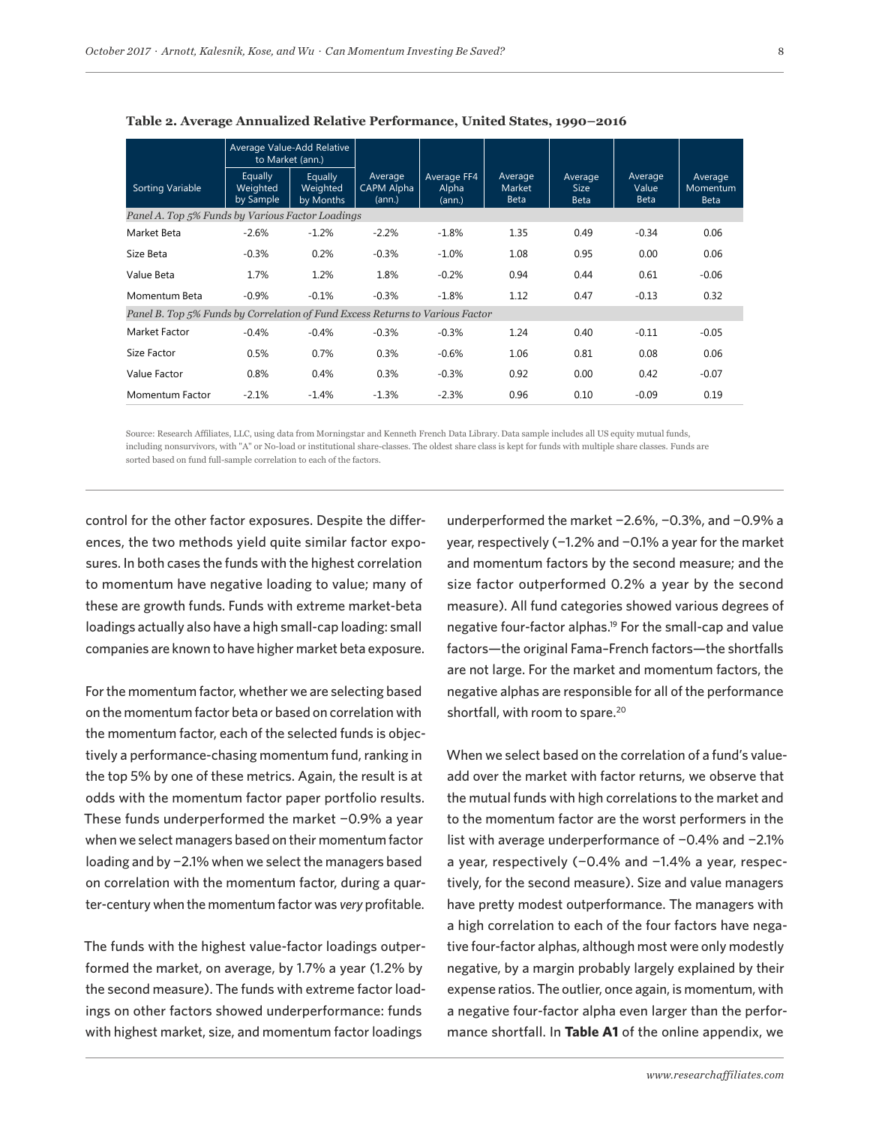| I<br>I |  |  |
|--------|--|--|
|        |  |  |
|        |  |  |
|        |  |  |

|                                                                               | to Market (ann.)                 | Average Value-Add Relative       |                                 |                                |                                  |                                 |                                 |                                    |
|-------------------------------------------------------------------------------|----------------------------------|----------------------------------|---------------------------------|--------------------------------|----------------------------------|---------------------------------|---------------------------------|------------------------------------|
| Sorting Variable                                                              | Equally<br>Weighted<br>by Sample | Equally<br>Weighted<br>by Months | Average<br>CAPM Alpha<br>(ann.) | Average FF4<br>Alpha<br>(ann.) | Average<br>Market<br><b>Beta</b> | Average<br>Size:<br><b>Beta</b> | Average<br>Value<br><b>Beta</b> | Average<br>Momentum<br><b>Beta</b> |
| Panel A. Top 5% Funds by Various Factor Loadings                              |                                  |                                  |                                 |                                |                                  |                                 |                                 |                                    |
| Market Beta                                                                   | $-2.6%$                          | $-1.2%$                          | $-2.2%$                         | $-1.8%$                        | 1.35                             | 0.49                            | $-0.34$                         | 0.06                               |
| Size Beta                                                                     | $-0.3%$                          | 0.2%                             | $-0.3%$                         | $-1.0%$                        | 1.08                             | 0.95                            | 0.00                            | 0.06                               |
| Value Beta                                                                    | 1.7%                             | 1.2%                             | 1.8%                            | $-0.2%$                        | 0.94                             | 0.44                            | 0.61                            | $-0.06$                            |
| Momentum Beta                                                                 | $-0.9%$                          | $-0.1%$                          | $-0.3%$                         | $-1.8%$                        | 1.12                             | 0.47                            | $-0.13$                         | 0.32                               |
| Panel B. Top 5% Funds by Correlation of Fund Excess Returns to Various Factor |                                  |                                  |                                 |                                |                                  |                                 |                                 |                                    |
| Market Factor                                                                 | $-0.4%$                          | $-0.4%$                          | $-0.3%$                         | $-0.3%$                        | 1.24                             | 0.40                            | $-0.11$                         | $-0.05$                            |
| Size Factor                                                                   | 0.5%                             | 0.7%                             | 0.3%                            | $-0.6%$                        | 1.06                             | 0.81                            | 0.08                            | 0.06                               |
| Value Factor                                                                  | 0.8%                             | 0.4%                             | 0.3%                            | $-0.3%$                        | 0.92                             | 0.00                            | 0.42                            | $-0.07$                            |
| Momentum Factor                                                               | $-2.1%$                          | $-1.4%$                          | $-1.3%$                         | $-2.3%$                        | 0.96                             | 0.10                            | $-0.09$                         | 0.19                               |

**Table 2. Average Annualized Relative Performance, United States, 1990–2016**

Source: Research Affiliates, LLC, using data from Morningstar and Kenneth French Data Library. Data sample includes all US equity mutual funds, including nonsurvivors, with "A" or No-load or institutional share-classes. The oldest share class is kept for funds with multiple share classes. Funds are sorted based on fund full-sample correlation to each of the factors.

control for the other factor exposures. Despite the differences, the two methods yield quite similar factor exposures. In both cases the funds with the highest correlation to momentum have negative loading to value; many of these are growth funds. Funds with extreme market-beta loadings actually also have a high small-cap loading: small companies are known to have higher market beta exposure.

For the momentum factor, whether we are selecting based on the momentum factor beta or based on correlation with the momentum factor, each of the selected funds is objectively a performance-chasing momentum fund, ranking in the top 5% by one of these metrics. Again, the result is at odds with the momentum factor paper portfolio results. These funds underperformed the market −0.9% a year when we select managers based on their momentum factor loading and by −2.1% when we select the managers based on correlation with the momentum factor, during a quarter-century when the momentum factor was *very* profitable.

The funds with the highest value-factor loadings outperformed the market, on average, by 1.7% a year (1.2% by the second measure). The funds with extreme factor loadings on other factors showed underperformance: funds with highest market, size, and momentum factor loadings

underperformed the market −2.6%, −0.3%, and −0.9% a year, respectively (−1.2% and −0.1% a year for the market and momentum factors by the second measure; and the size factor outperformed 0.2% a year by the second measure). All fund categories showed various degrees of negative four-factor alphas.19 For the small-cap and value factors—the original Fama–French factors—the shortfalls are not large. For the market and momentum factors, the negative alphas are responsible for all of the performance shortfall, with room to spare.<sup>20</sup>

When we select based on the correlation of a fund's valueadd over the market with factor returns, we observe that the mutual funds with high correlations to the market and to the momentum factor are the worst performers in the list with average underperformance of −0.4% and −2.1% a year, respectively (−0.4% and −1.4% a year, respectively, for the second measure). Size and value managers have pretty modest outperformance. The managers with a high correlation to each of the four factors have negative four-factor alphas, although most were only modestly negative, by a margin probably largely explained by their expense ratios. The outlier, once again, is momentum, with a negative four-factor alpha even larger than the performance shortfall. In **Table A1** of the online appendix, we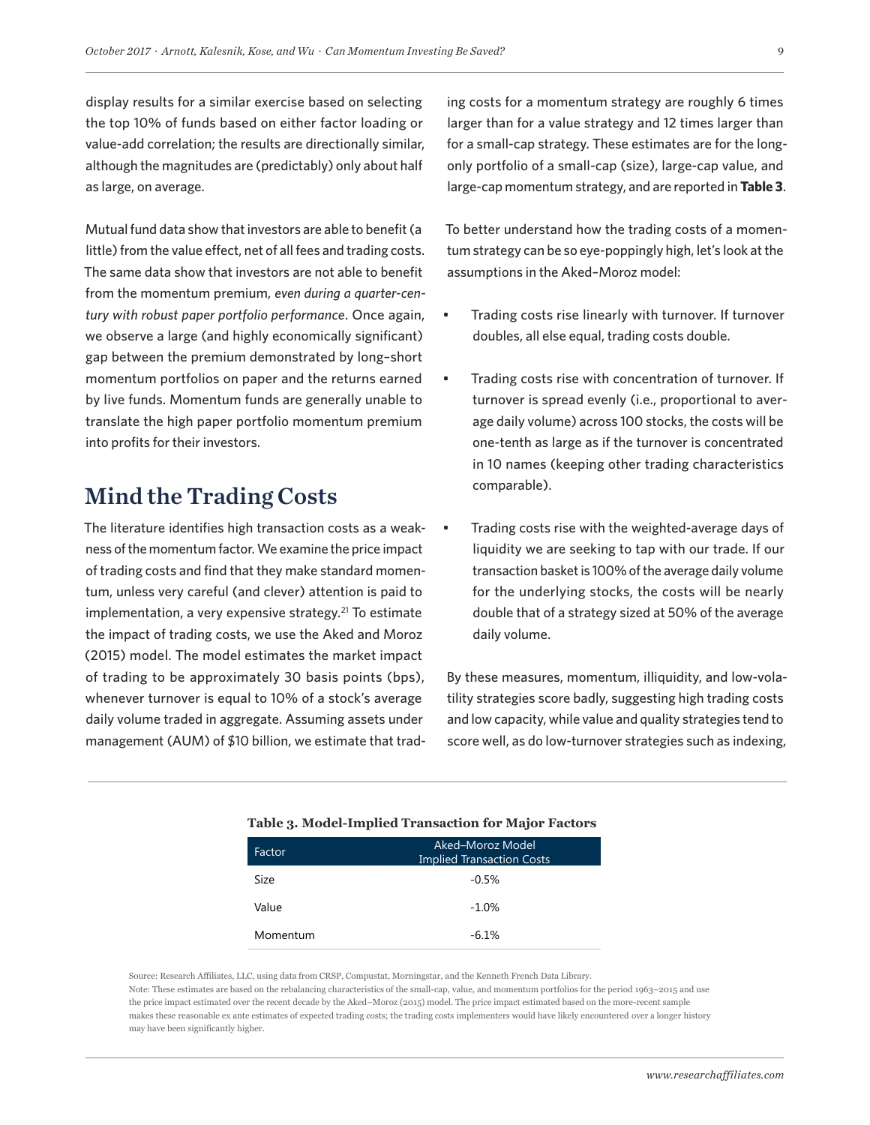display results for a similar exercise based on selecting the top 10% of funds based on either factor loading or value-add correlation; the results are directionally similar, although the magnitudes are (predictably) only about half as large, on average.

Mutual fund data show that investors are able to benefit (a little) from the value effect, net of all fees and trading costs. The same data show that investors are not able to benefit from the momentum premium, *even during a quarter-century with robust paper portfolio performance*. Once again, we observe a large (and highly economically significant) gap between the premium demonstrated by long–short momentum portfolios on paper and the returns earned by live funds. Momentum funds are generally unable to translate the high paper portfolio momentum premium into profits for their investors.

## Mind the Trading Costs

The literature identifies high transaction costs as a weakness of the momentum factor. We examine the price impact of trading costs and find that they make standard momentum, unless very careful (and clever) attention is paid to implementation, a very expensive strategy.<sup>21</sup> To estimate the impact of trading costs, we use the Aked and Moroz (2015) model. The model estimates the market impact of trading to be approximately 30 basis points (bps), whenever turnover is equal to 10% of a stock's average daily volume traded in aggregate. Assuming assets under management (AUM) of \$10 billion, we estimate that trading costs for a momentum strategy are roughly 6 times larger than for a value strategy and 12 times larger than for a small-cap strategy. These estimates are for the longonly portfolio of a small-cap (size), large-cap value, and large-cap momentum strategy, and are reported in **Table 3**.

To better understand how the trading costs of a momentum strategy can be so eye-poppingly high, let's look at the assumptions in the Aked–Moroz model:

- Trading costs rise linearly with turnover. If turnover doubles, all else equal, trading costs double.
- Trading costs rise with concentration of turnover. If turnover is spread evenly (i.e., proportional to average daily volume) across 100 stocks, the costs will be one-tenth as large as if the turnover is concentrated in 10 names (keeping other trading characteristics comparable).
- Trading costs rise with the weighted-average days of liquidity we are seeking to tap with our trade. If our transaction basket is 100% of the average daily volume for the underlying stocks, the costs will be nearly double that of a strategy sized at 50% of the average daily volume.

By these measures, momentum, illiquidity, and low-volatility strategies score badly, suggesting high trading costs and low capacity, while value and quality strategies tend to score well, as do low-turnover strategies such as indexing,

| Factor   | Aked-Moroz Model<br><b>Implied Transaction Costs</b> |
|----------|------------------------------------------------------|
| Size     | $-0.5%$                                              |
| Value    | $-1.0%$                                              |
| Momentum | $-61%$                                               |

## **Table 3. Model-Implied Transaction for Major Factors**

Source: Research Affiliates, LLC, using data from CRSP, Compustat, Morningstar, and the Kenneth French Data Library. Note: These estimates are based on the rebalancing characteristics of the small-cap, value, and momentum portfolios for the period 1963–2015 and use the price impact estimated over the recent decade by the Aked–Moroz (2015) model. The price impact estimated based on the more-recent sample makes these reasonable ex ante estimates of expected trading costs; the trading costs implementers would have likely encountered over a longer history may have been significantly higher.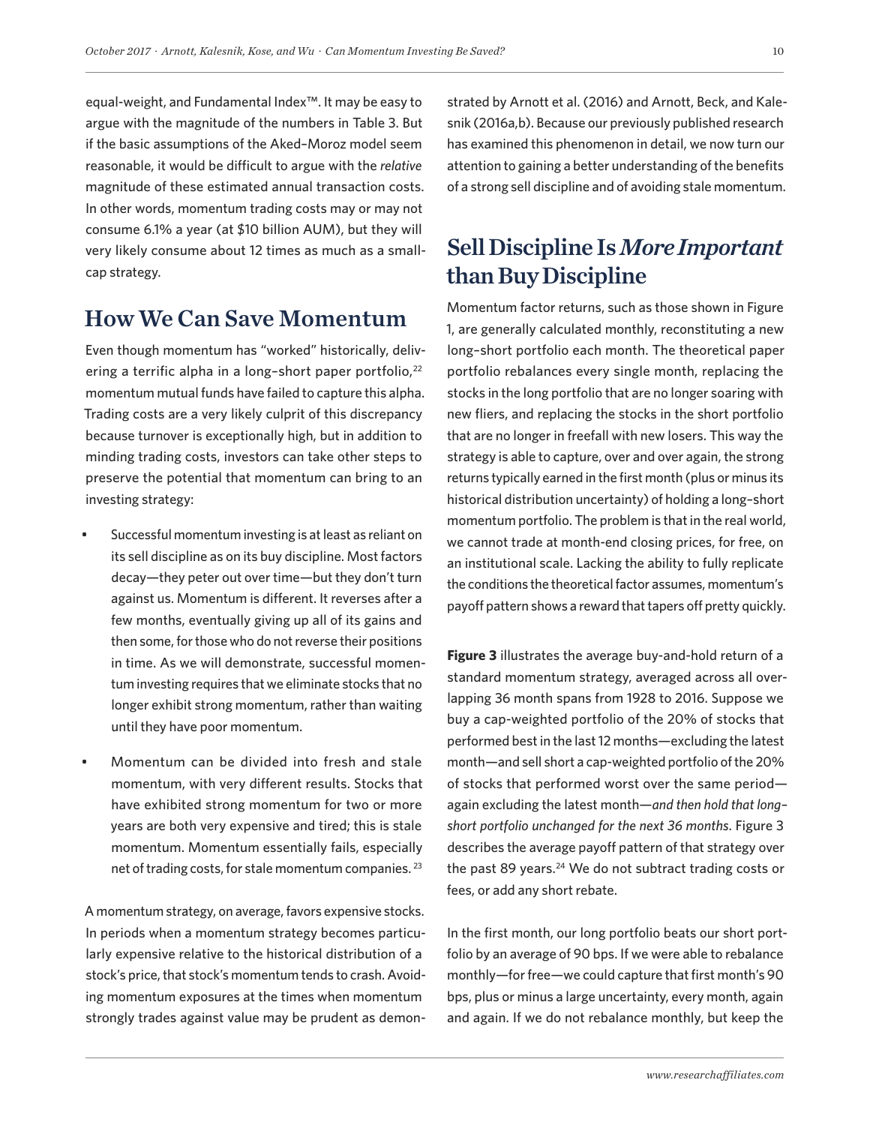equal-weight, and Fundamental Index™. It may be easy to argue with the magnitude of the numbers in Table 3. But if the basic assumptions of the Aked–Moroz model seem reasonable, it would be difficult to argue with the *relative* magnitude of these estimated annual transaction costs. In other words, momentum trading costs may or may not consume 6.1% a year (at \$10 billion AUM), but they will very likely consume about 12 times as much as a smallcap strategy.

## How We Can Save Momentum

Even though momentum has "worked" historically, delivering a terrific alpha in a long-short paper portfolio,<sup>22</sup> momentum mutual funds have failed to capture this alpha. Trading costs are a very likely culprit of this discrepancy because turnover is exceptionally high, but in addition to minding trading costs, investors can take other steps to preserve the potential that momentum can bring to an investing strategy:

- Successful momentum investing is at least as reliant on its sell discipline as on its buy discipline. Most factors decay—they peter out over time—but they don't turn against us. Momentum is different. It reverses after a few months, eventually giving up all of its gains and then some, for those who do not reverse their positions in time. As we will demonstrate, successful momentum investing requires that we eliminate stocks that no longer exhibit strong momentum, rather than waiting until they have poor momentum.
- Momentum can be divided into fresh and stale momentum, with very different results. Stocks that have exhibited strong momentum for two or more years are both very expensive and tired; this is stale momentum. Momentum essentially fails, especially net of trading costs, for stale momentum companies. 23

A momentum strategy, on average, favors expensive stocks. In periods when a momentum strategy becomes particularly expensive relative to the historical distribution of a stock's price, that stock's momentum tends to crash. Avoiding momentum exposures at the times when momentum strongly trades against value may be prudent as demonstrated by Arnott et al. (2016) and Arnott, Beck, and Kalesnik (2016a,b). Because our previously published research has examined this phenomenon in detail, we now turn our attention to gaining a better understanding of the benefits of a strong sell discipline and of avoiding stale momentum.

# Sell Discipline Is *More Important* than Buy Discipline

Momentum factor returns, such as those shown in Figure 1, are generally calculated monthly, reconstituting a new long–short portfolio each month. The theoretical paper portfolio rebalances every single month, replacing the stocks in the long portfolio that are no longer soaring with new fliers, and replacing the stocks in the short portfolio that are no longer in freefall with new losers. This way the strategy is able to capture, over and over again, the strong returns typically earned in the first month (plus or minus its historical distribution uncertainty) of holding a long–short momentum portfolio. The problem is that in the real world, we cannot trade at month-end closing prices, for free, on an institutional scale. Lacking the ability to fully replicate the conditions the theoretical factor assumes, momentum's payoff pattern shows a reward that tapers off pretty quickly.

**Figure 3** illustrates the average buy-and-hold return of a standard momentum strategy, averaged across all overlapping 36 month spans from 1928 to 2016. Suppose we buy a cap-weighted portfolio of the 20% of stocks that performed best in the last 12 months—excluding the latest month—and sell short a cap-weighted portfolio of the 20% of stocks that performed worst over the same period again excluding the latest month—*and then hold that long– short portfolio unchanged for the next 36 months*. Figure 3 describes the average payoff pattern of that strategy over the past 89 years.<sup>24</sup> We do not subtract trading costs or fees, or add any short rebate.

In the first month, our long portfolio beats our short portfolio by an average of 90 bps. If we were able to rebalance monthly—for free—we could capture that first month's 90 bps, plus or minus a large uncertainty, every month, again and again. If we do not rebalance monthly, but keep the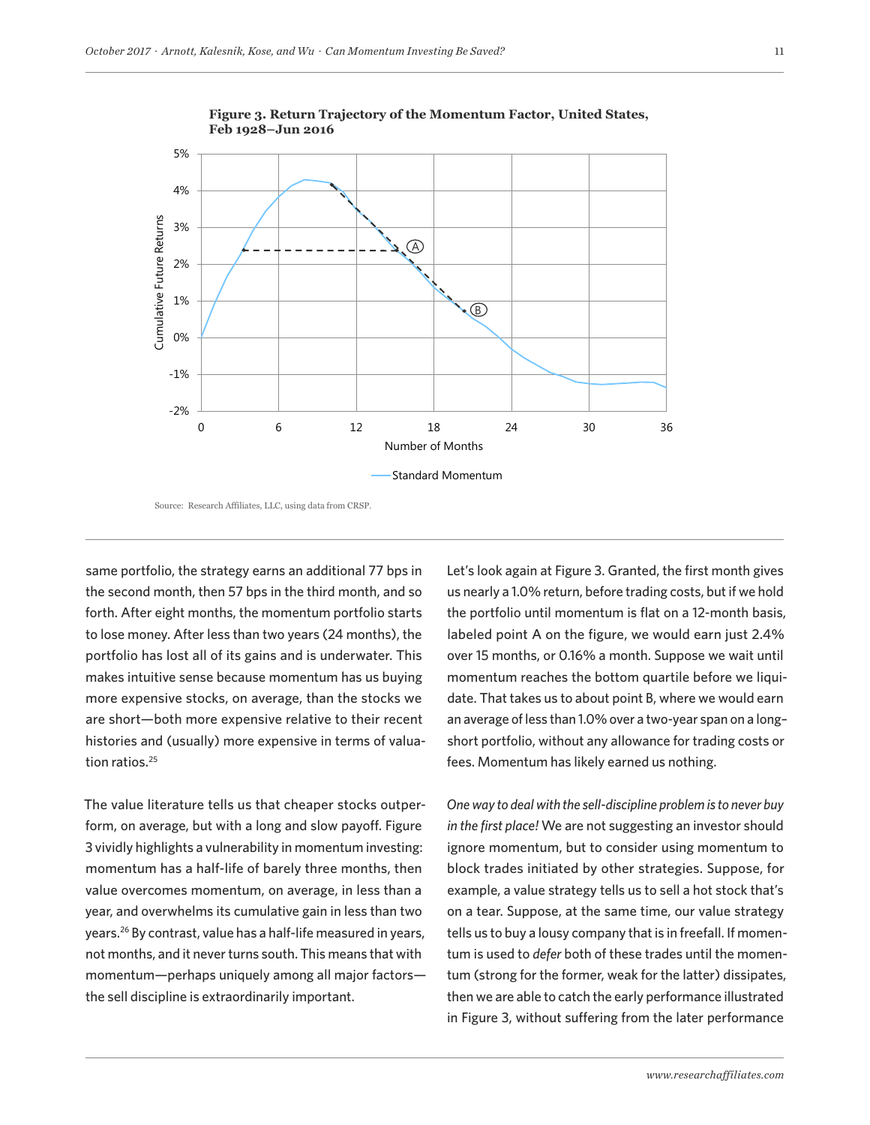

**Figure 3. Return Trajectory of the Momentum Factor, United States,** 

same portfolio, the strategy earns an additional 77 bps in let's look a the second month, then 57 bps in the third month, and so forth. After eight months, the momentum portfolio starts to lose money. After less than two years (24 months), the portfolio has lost all of its gains and is underwater. This makes intuitive sense because momentum has us buying more expensive stocks, on average, than the stocks we are short—both more expensive relative to their recent histories and (usually) more expensive in terms of valuation ratios.25

The value literature tells us that cheaper stocks outperform, on average, but with a long and slow payoff. Figure 3 vividly highlights a vulnerability in momentum investing: momentum has a half-life of barely three months, then value overcomes momentum, on average, in less than a year, and overwhelms its cumulative gain in less than two years.26 By contrast, value has a half-life measured in years, not months, and it never turns south. This means that with momentum—perhaps uniquely among all major factors the sell discipline is extraordinarily important.

Let's look again at Figure 3. Granted, the first month gives us nearly a 1.0% return, before trading costs, but if we hold the portfolio until momentum is flat on a 12-month basis, labeled point A on the figure, we would earn just 2.4% over 15 months, or 0.16% a month. Suppose we wait until momentum reaches the bottom quartile before we liquidate. That takes us to about point B, where we would earn an average of less than 1.0% over a two-year span on a long– short portfolio, without any allowance for trading costs or fees. Momentum has likely earned us nothing.

*One way to deal with the sell-discipline problem is to never buy in the first place!* We are not suggesting an investor should ignore momentum, but to consider using momentum to block trades initiated by other strategies. Suppose, for example, a value strategy tells us to sell a hot stock that's on a tear. Suppose, at the same time, our value strategy tells us to buy a lousy company that is in freefall. If momentum is used to *defer* both of these trades until the momentum (strong for the former, weak for the latter) dissipates, then we are able to catch the early performance illustrated in Figure 3, without suffering from the later performance

Source: Research Affiliates, LLC, using data from CRSP.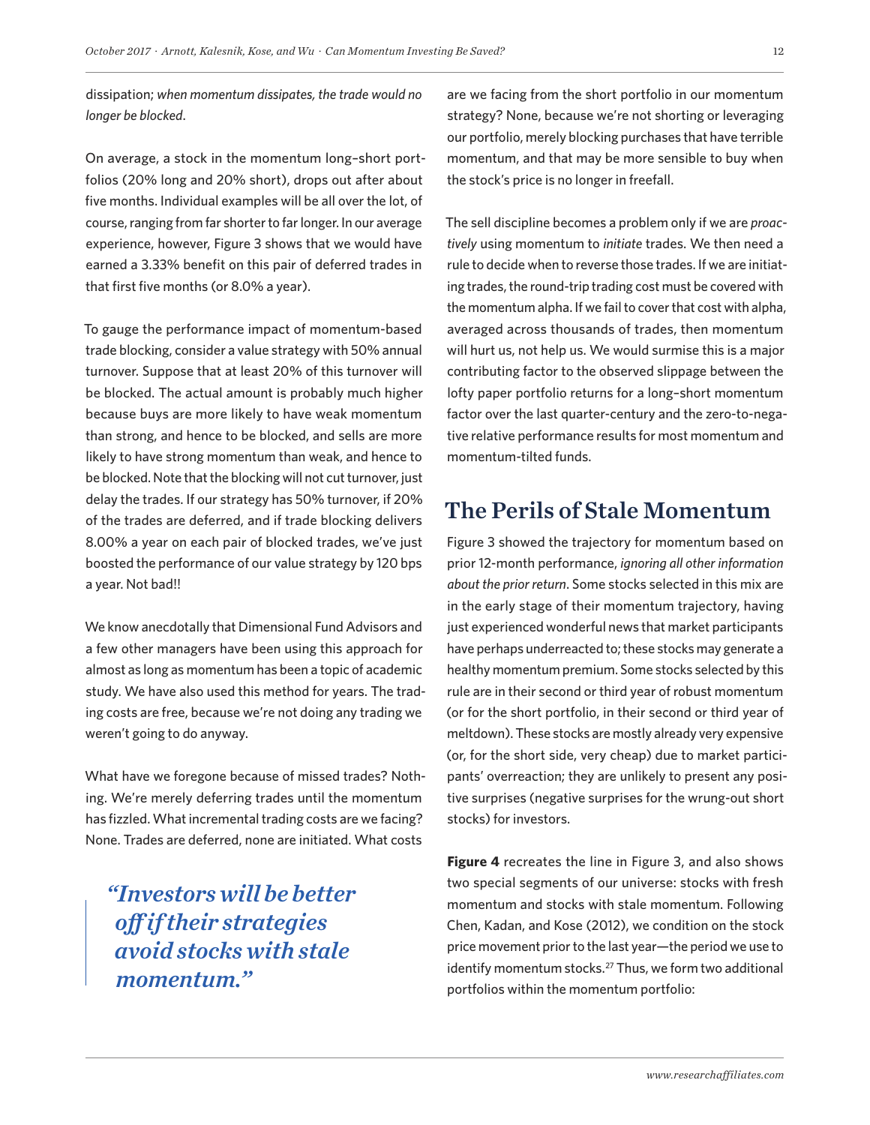dissipation; *when momentum dissipates, the trade would no longer be blocked*.

On average, a stock in the momentum long–short portfolios (20% long and 20% short), drops out after about five months. Individual examples will be all over the lot, of course, ranging from far shorter to far longer. In our average experience, however, Figure 3 shows that we would have earned a 3.33% benefit on this pair of deferred trades in that first five months (or 8.0% a year).

To gauge the performance impact of momentum-based trade blocking, consider a value strategy with 50% annual turnover. Suppose that at least 20% of this turnover will be blocked. The actual amount is probably much higher because buys are more likely to have weak momentum than strong, and hence to be blocked, and sells are more likely to have strong momentum than weak, and hence to be blocked. Note that the blocking will not cut turnover, just delay the trades. If our strategy has 50% turnover, if 20% of the trades are deferred, and if trade blocking delivers 8.00% a year on each pair of blocked trades, we've just boosted the performance of our value strategy by 120 bps a year. Not bad!!

We know anecdotally that Dimensional Fund Advisors and a few other managers have been using this approach for almost as long as momentum has been a topic of academic study. We have also used this method for years. The trading costs are free, because we're not doing any trading we weren't going to do anyway.

What have we foregone because of missed trades? Nothing. We're merely deferring trades until the momentum has fizzled. What incremental trading costs are we facing? None. Trades are deferred, none are initiated. What costs

*"Investors will be better off if their strategies avoid stocks with stale momentum."*

are we facing from the short portfolio in our momentum strategy? None, because we're not shorting or leveraging our portfolio, merely blocking purchases that have terrible momentum, and that may be more sensible to buy when the stock's price is no longer in freefall.

The sell discipline becomes a problem only if we are *proactively* using momentum to *initiate* trades. We then need a rule to decide when to reverse those trades. If we are initiating trades, the round-trip trading cost must be covered with the momentum alpha. If we fail to cover that cost with alpha, averaged across thousands of trades, then momentum will hurt us, not help us. We would surmise this is a major contributing factor to the observed slippage between the lofty paper portfolio returns for a long–short momentum factor over the last quarter-century and the zero-to-negative relative performance results for most momentum and momentum-tilted funds.

## The Perils of Stale Momentum

Figure 3 showed the trajectory for momentum based on prior 12-month performance, *ignoring all other information about the prior return*. Some stocks selected in this mix are in the early stage of their momentum trajectory, having just experienced wonderful news that market participants have perhaps underreacted to; these stocks may generate a healthy momentum premium. Some stocks selected by this rule are in their second or third year of robust momentum (or for the short portfolio, in their second or third year of meltdown). These stocks are mostly already very expensive (or, for the short side, very cheap) due to market participants' overreaction; they are unlikely to present any positive surprises (negative surprises for the wrung-out short stocks) for investors.

**Figure 4** recreates the line in Figure 3, and also shows two special segments of our universe: stocks with fresh momentum and stocks with stale momentum. Following Chen, Kadan, and Kose (2012), we condition on the stock price movement prior to the last year—the period we use to identify momentum stocks.<sup>27</sup> Thus, we form two additional portfolios within the momentum portfolio: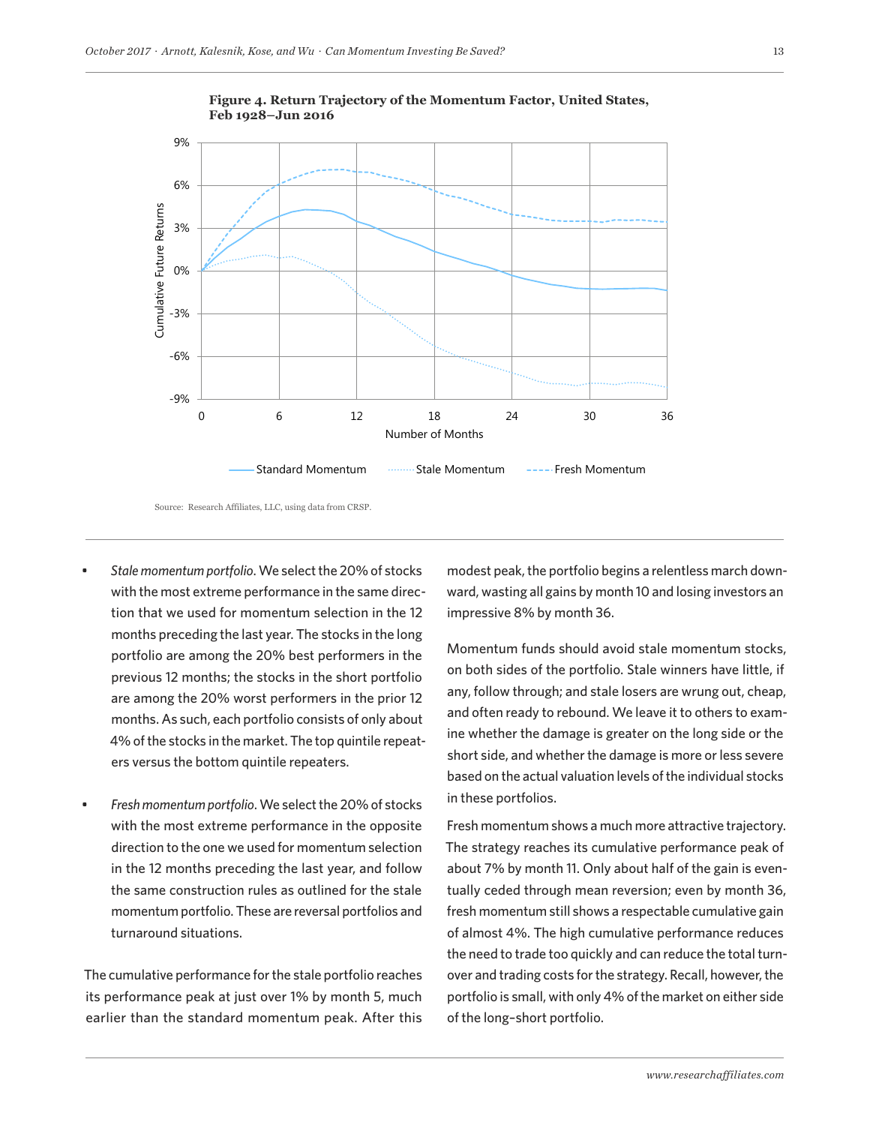



Source: Research Affiliates, LLC, using data from CRSP.

- **•** Stale momentum portfolio. We select the 20% of stocks modest pea with the most extreme performance in the same direction that we used for momentum selection in the 12 months preceding the last year. The stocks in the long portfolio are among the 20% best performers in the previous 12 months; the stocks in the short portfolio are among the 20% worst performers in the prior 12 months. As such, each portfolio consists of only about 4% of the stocks in the market. The top quintile repeaters versus the bottom quintile repeaters.
- *• Fresh momentum portfolio*. We select the 20% of stocks with the most extreme performance in the opposite direction to the one we used for momentum selection in the 12 months preceding the last year, and follow the same construction rules as outlined for the stale momentum portfolio. These are reversal portfolios and turnaround situations.

The cumulative performance for the stale portfolio reaches its performance peak at just over 1% by month 5, much earlier than the standard momentum peak. After this

modest peak, the portfolio begins a relentless march downward, wasting all gains by month 10 and losing investors an impressive 8% by month 36.

Momentum funds should avoid stale momentum stocks, on both sides of the portfolio. Stale winners have little, if any, follow through; and stale losers are wrung out, cheap, and often ready to rebound. We leave it to others to examine whether the damage is greater on the long side or the short side, and whether the damage is more or less severe based on the actual valuation levels of the individual stocks in these portfolios.

Fresh momentum shows a much more attractive trajectory. The strategy reaches its cumulative performance peak of about 7% by month 11. Only about half of the gain is eventually ceded through mean reversion; even by month 36, fresh momentum still shows a respectable cumulative gain of almost 4%. The high cumulative performance reduces the need to trade too quickly and can reduce the total turnover and trading costs for the strategy. Recall, however, the portfolio is small, with only 4% of the market on either side of the long–short portfolio.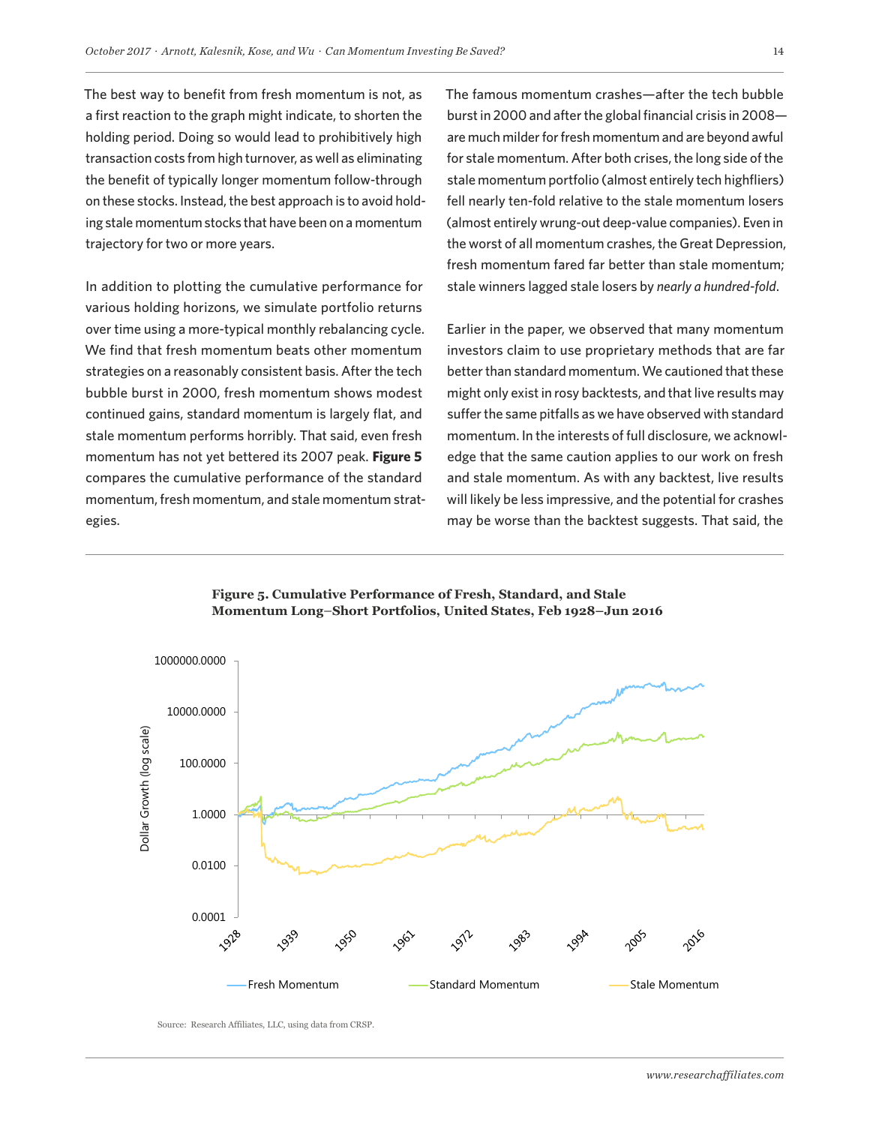The best way to benefit from fresh momentum is not, as a first reaction to the graph might indicate, to shorten the holding period. Doing so would lead to prohibitively high transaction costs from high turnover, as well as eliminating the benefit of typically longer momentum follow-through on these stocks. Instead, the best approach is to avoid holding stale momentum stocks that have been on a momentum trajectory for two or more years.

In addition to plotting the cumulative performance for various holding horizons, we simulate portfolio returns over time using a more-typical monthly rebalancing cycle. We find that fresh momentum beats other momentum strategies on a reasonably consistent basis. After the tech bubble burst in 2000, fresh momentum shows modest continued gains, standard momentum is largely flat, and stale momentum performs horribly. That said, even fresh momentum has not yet bettered its 2007 peak. **Figure 5**  compares the cumulative performance of the standard momentum, fresh momentum, and stale momentum strategies.

The famous momentum crashes—after the tech bubble burst in 2000 and after the global financial crisis in 2008 are much milder for fresh momentum and are beyond awful for stale momentum. After both crises, the long side of the stale momentum portfolio (almost entirely tech highfliers) fell nearly ten-fold relative to the stale momentum losers (almost entirely wrung-out deep-value companies). Even in the worst of all momentum crashes, the Great Depression, fresh momentum fared far better than stale momentum; stale winners lagged stale losers by *nearly a hundred-fold*.

Earlier in the paper, we observed that many momentum investors claim to use proprietary methods that are far better than standard momentum. We cautioned that these might only exist in rosy backtests, and that live results may suffer the same pitfalls as we have observed with standard momentum. In the interests of full disclosure, we acknowledge that the same caution applies to our work on fresh and stale momentum. As with any backtest, live results will likely be less impressive, and the potential for crashes may be worse than the backtest suggests. That said, the





Source: Research Affiliates, LLC, using data from CRSP.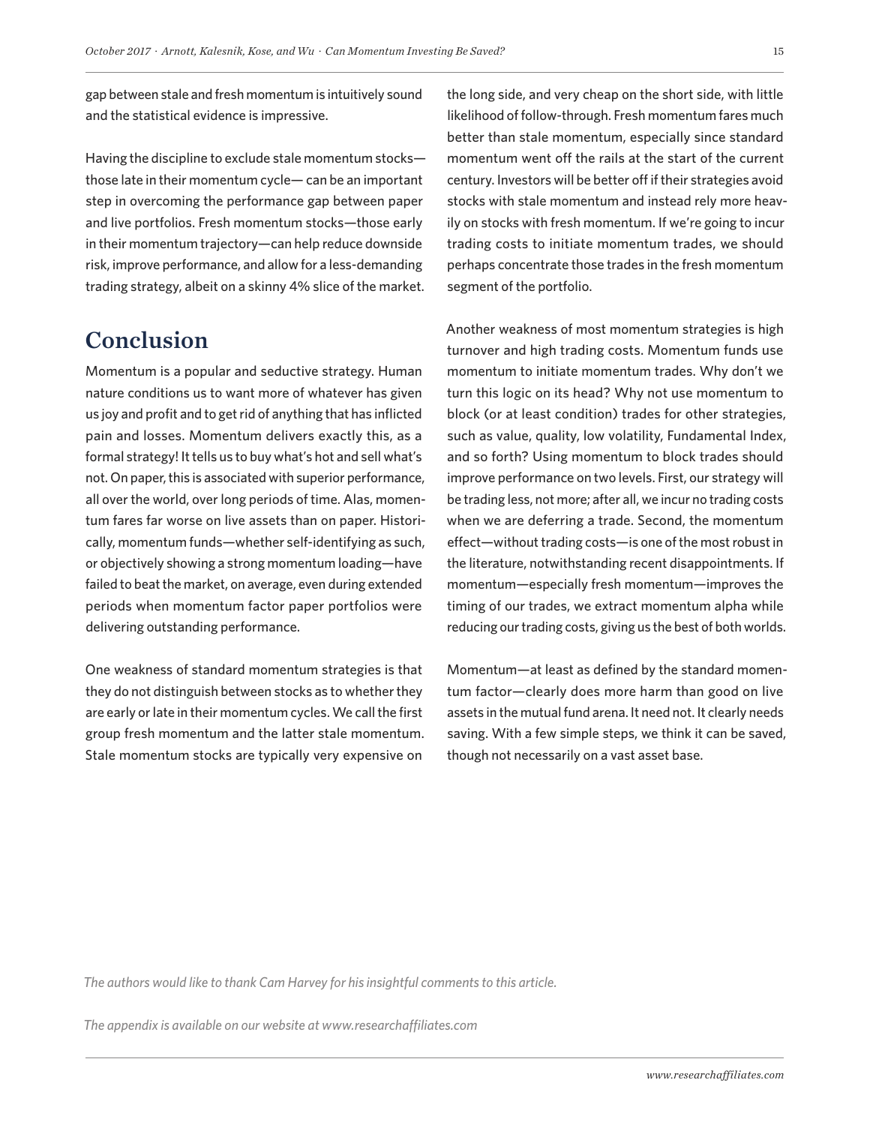gap between stale and fresh momentum is intuitively sound and the statistical evidence is impressive.

Having the discipline to exclude stale momentum stocks those late in their momentum cycle— can be an important step in overcoming the performance gap between paper and live portfolios. Fresh momentum stocks—those early in their momentum trajectory—can help reduce downside risk, improve performance, and allow for a less-demanding trading strategy, albeit on a skinny 4% slice of the market.

# Conclusion

Momentum is a popular and seductive strategy. Human nature conditions us to want more of whatever has given us joy and profit and to get rid of anything that has inflicted pain and losses. Momentum delivers exactly this, as a formal strategy! It tells us to buy what's hot and sell what's not. On paper, this is associated with superior performance, all over the world, over long periods of time. Alas, momentum fares far worse on live assets than on paper. Historically, momentum funds—whether self-identifying as such, or objectively showing a strong momentum loading—have failed to beat the market, on average, even during extended periods when momentum factor paper portfolios were delivering outstanding performance.

One weakness of standard momentum strategies is that they do not distinguish between stocks as to whether they are early or late in their momentum cycles. We call the first group fresh momentum and the latter stale momentum. Stale momentum stocks are typically very expensive on

the long side, and very cheap on the short side, with little likelihood of follow-through. Fresh momentum fares much better than stale momentum, especially since standard momentum went off the rails at the start of the current century. Investors will be better off if their strategies avoid stocks with stale momentum and instead rely more heavily on stocks with fresh momentum. If we're going to incur trading costs to initiate momentum trades, we should perhaps concentrate those trades in the fresh momentum segment of the portfolio.

Another weakness of most momentum strategies is high turnover and high trading costs. Momentum funds use momentum to initiate momentum trades. Why don't we turn this logic on its head? Why not use momentum to block (or at least condition) trades for other strategies, such as value, quality, low volatility, Fundamental Index, and so forth? Using momentum to block trades should improve performance on two levels. First, our strategy will be trading less, not more; after all, we incur no trading costs when we are deferring a trade. Second, the momentum effect—without trading costs—is one of the most robust in the literature, notwithstanding recent disappointments. If momentum—especially fresh momentum—improves the timing of our trades, we extract momentum alpha while reducing our trading costs, giving us the best of both worlds.

Momentum—at least as defined by the standard momentum factor—clearly does more harm than good on live assets in the mutual fund arena. It need not. It clearly needs saving. With a few simple steps, we think it can be saved, though not necessarily on a vast asset base.

*The authors would like to thank Cam Harvey for his insightful comments to this article.* 

*The appendix is available on our website at www.researchaffiliates.com*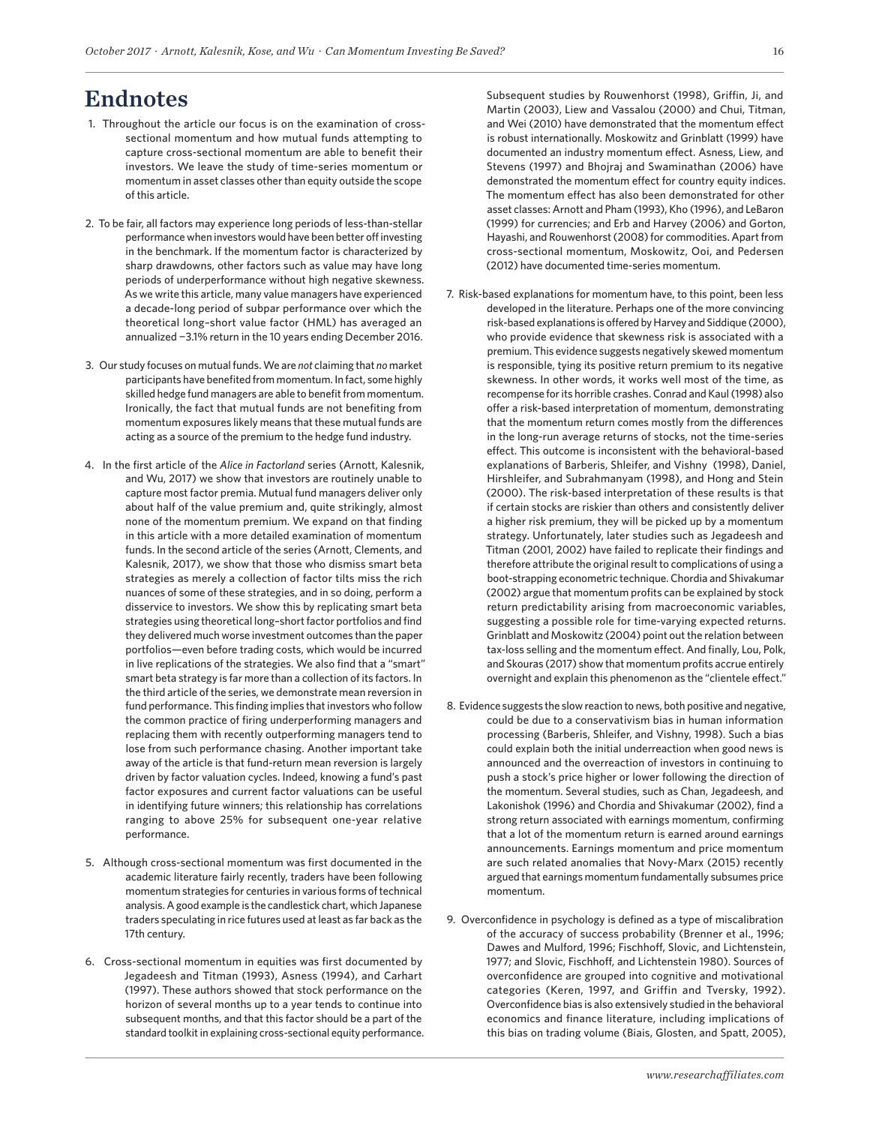## Endnotes

- 1. Throughout the article our focus is on the examination of crosssectional momentum and how mutual funds attempting to capture cross-sectional momentum are able to benefit their investors. We leave the study of time-series momentum or momentum in asset classes other than equity outside the scope of this article.
- 2. To be fair, all factors may experience long periods of less-than-stellar performance when investors would have been better off investing in the benchmark. If the momentum factor is characterized by sharp drawdowns, other factors such as value may have long periods of underperformance without high negative skewness. As we write this article, many value managers have experienced a decade-long period of subpar performance over which the theoretical long–short value factor (HML) has averaged an annualized −3.1% return in the 10 years ending December 2016.
- 3. Our study focuses on mutual funds. We are *not* claiming that *no* market participants have benefited from momentum. In fact, some highly skilled hedge fund managers are able to benefit from momentum. Ironically, the fact that mutual funds are not benefiting from momentum exposures likely means that these mutual funds are acting as a source of the premium to the hedge fund industry.
- 4. In the first article of the *Alice in Factorland* series (Arnott, Kalesnik, and Wu, 2017) we show that investors are routinely unable to capture most factor premia. Mutual fund managers deliver only about half of the value premium and, quite strikingly, almost none of the momentum premium. We expand on that finding in this article with a more detailed examination of momentum funds. In the second article of the series (Arnott, Clements, and Kalesnik, 2017), we show that those who dismiss smart beta strategies as merely a collection of factor tilts miss the rich nuances of some of these strategies, and in so doing, perform a disservice to investors. We show this by replicating smart beta strategies using theoretical long–short factor portfolios and find they delivered much worse investment outcomes than the paper portfolios—even before trading costs, which would be incurred in live replications of the strategies. We also find that a "smart" smart beta strategy is far more than a collection of its factors. In the third article of the series, we demonstrate mean reversion in fund performance. This finding implies that investors who follow the common practice of firing underperforming managers and replacing them with recently outperforming managers tend to lose from such performance chasing. Another important take away of the article is that fund-return mean reversion is largely driven by factor valuation cycles. Indeed, knowing a fund's past factor exposures and current factor valuations can be useful in identifying future winners; this relationship has correlations ranging to above 25% for subsequent one-year relative performance.
- 5. Although cross-sectional momentum was first documented in the academic literature fairly recently, traders have been following momentum strategies for centuries in various forms of technical analysis. A good example is the candlestick chart, which Japanese traders speculating in rice futures used at least as far back as the 17th century.
- 6. Cross-sectional momentum in equities was first documented by Jegadeesh and Titman (1993), Asness (1994), and Carhart (1997). These authors showed that stock performance on the horizon of several months up to a year tends to continue into subsequent months, and that this factor should be a part of the standard toolkit in explaining cross-sectional equity performance.

Subsequent studies by Rouwenhorst (1998), Griffin, Ji, and Martin (2003), Liew and Vassalou (2000) and Chui, Titman, and Wei (2010) have demonstrated that the momentum effect is robust internationally. Moskowitz and Grinblatt (1999) have documented an industry momentum effect. Asness, Liew, and Stevens (1997) and Bhojraj and Swaminathan (2006) have demonstrated the momentum effect for country equity indices. The momentum effect has also been demonstrated for other asset classes: Arnott and Pham (1993), Kho (1996), and LeBaron (1999) for currencies; and Erb and Harvey (2006) and Gorton, Hayashi, and Rouwenhorst (2008) for commodities. Apart from cross-sectional momentum, Moskowitz, Ooi, and Pedersen (2012) have documented time-series momentum.

- 7. Risk-based explanations for momentum have, to this point, been less developed in the literature. Perhaps one of the more convincing risk-based explanations is offered by Harvey and Siddique (2000), who provide evidence that skewness risk is associated with a premium. This evidence suggests negatively skewed momentum is responsible, tying its positive return premium to its negative skewness. In other words, it works well most of the time, as recompense for its horrible crashes. Conrad and Kaul (1998) also offer a risk-based interpretation of momentum, demonstrating that the momentum return comes mostly from the differences in the long-run average returns of stocks, not the time-series effect. This outcome is inconsistent with the behavioral-based explanations of Barberis, Shleifer, and Vishny (1998), Daniel, Hirshleifer, and Subrahmanyam (1998), and Hong and Stein (2000). The risk-based interpretation of these results is that if certain stocks are riskier than others and consistently deliver a higher risk premium, they will be picked up by a momentum strategy. Unfortunately, later studies such as Jegadeesh and Titman (2001, 2002) have failed to replicate their findings and therefore attribute the original result to complications of using a boot-strapping econometric technique. Chordia and Shivakumar (2002) argue that momentum profits can be explained by stock return predictability arising from macroeconomic variables, suggesting a possible role for time-varying expected returns. Grinblatt and Moskowitz (2004) point out the relation between tax-loss selling and the momentum effect. And finally, Lou, Polk, and Skouras (2017) show that momentum profits accrue entirely overnight and explain this phenomenon as the "clientele effect."
- 8. Evidence suggests the slow reaction to news, both positive and negative, could be due to a conservativism bias in human information processing (Barberis, Shleifer, and Vishny, 1998). Such a bias could explain both the initial underreaction when good news is announced and the overreaction of investors in continuing to push a stock's price higher or lower following the direction of the momentum. Several studies, such as Chan, Jegadeesh, and Lakonishok (1996) and Chordia and Shivakumar (2002), find a strong return associated with earnings momentum, confirming that a lot of the momentum return is earned around earnings announcements. Earnings momentum and price momentum are such related anomalies that Novy-Marx (2015) recently argued that earnings momentum fundamentally subsumes price momentum.
- 9. Overconfidence in psychology is defined as a type of miscalibration of the accuracy of success probability (Brenner et al., 1996; Dawes and Mulford, 1996; Fischhoff, Slovic, and Lichtenstein, 1977; and Slovic, Fischhoff, and Lichtenstein 1980). Sources of overconfidence are grouped into cognitive and motivational categories (Keren, 1997, and Griffin and Tversky, 1992). Overconfidence bias is also extensively studied in the behavioral economics and finance literature, including implications of this bias on trading volume (Biais, Glosten, and Spatt, 2005),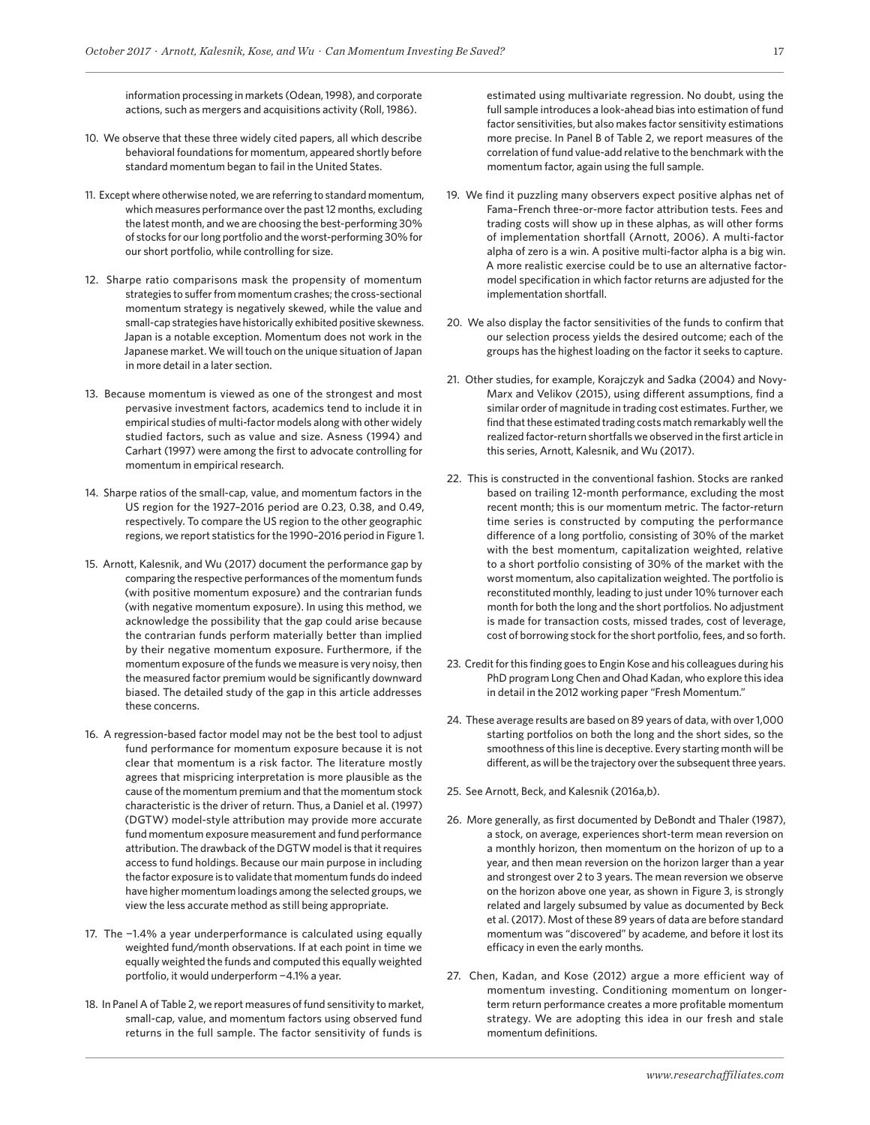information processing in markets (Odean, 1998), and corporate actions, such as mergers and acquisitions activity (Roll, 1986).

- 10. We observe that these three widely cited papers, all which describe behavioral foundations for momentum, appeared shortly before standard momentum began to fail in the United States.
- 11. Except where otherwise noted, we are referring to standard momentum, which measures performance over the past 12 months, excluding the latest month, and we are choosing the best-performing 30% of stocks for our long portfolio and the worst-performing 30% for our short portfolio, while controlling for size.
- 12. Sharpe ratio comparisons mask the propensity of momentum strategies to suffer from momentum crashes; the cross-sectional momentum strategy is negatively skewed, while the value and small-cap strategies have historically exhibited positive skewness. Japan is a notable exception. Momentum does not work in the Japanese market. We will touch on the unique situation of Japan in more detail in a later section.
- 13. Because momentum is viewed as one of the strongest and most pervasive investment factors, academics tend to include it in empirical studies of multi-factor models along with other widely studied factors, such as value and size. Asness (1994) and Carhart (1997) were among the first to advocate controlling for momentum in empirical research.
- 14. Sharpe ratios of the small-cap, value, and momentum factors in the US region for the 1927–2016 period are 0.23, 0.38, and 0.49, respectively. To compare the US region to the other geographic regions, we report statistics for the 1990–2016 period in Figure 1.
- 15. Arnott, Kalesnik, and Wu (2017) document the performance gap by comparing the respective performances of the momentum funds (with positive momentum exposure) and the contrarian funds (with negative momentum exposure). In using this method, we acknowledge the possibility that the gap could arise because the contrarian funds perform materially better than implied by their negative momentum exposure. Furthermore, if the momentum exposure of the funds we measure is very noisy, then the measured factor premium would be significantly downward biased. The detailed study of the gap in this article addresses these concerns.
- 16. A regression-based factor model may not be the best tool to adjust fund performance for momentum exposure because it is not clear that momentum is a risk factor. The literature mostly agrees that mispricing interpretation is more plausible as the cause of the momentum premium and that the momentum stock characteristic is the driver of return. Thus, a Daniel et al. (1997) (DGTW) model-style attribution may provide more accurate fund momentum exposure measurement and fund performance attribution. The drawback of the DGTW model is that it requires access to fund holdings. Because our main purpose in including the factor exposure is to validate that momentum funds do indeed have higher momentum loadings among the selected groups, we view the less accurate method as still being appropriate.
- 17. The −1.4% a year underperformance is calculated using equally weighted fund/month observations. If at each point in time we equally weighted the funds and computed this equally weighted portfolio, it would underperform −4.1% a year.
- 18. In Panel A of Table 2, we report measures of fund sensitivity to market, small-cap, value, and momentum factors using observed fund returns in the full sample. The factor sensitivity of funds is

estimated using multivariate regression. No doubt, using the full sample introduces a look-ahead bias into estimation of fund factor sensitivities, but also makes factor sensitivity estimations more precise. In Panel B of Table 2, we report measures of the correlation of fund value-add relative to the benchmark with the momentum factor, again using the full sample.

- 19. We find it puzzling many observers expect positive alphas net of Fama–French three-or-more factor attribution tests. Fees and trading costs will show up in these alphas, as will other forms of implementation shortfall (Arnott, 2006). A multi-factor alpha of zero is a win. A positive multi-factor alpha is a big win. A more realistic exercise could be to use an alternative factormodel specification in which factor returns are adjusted for the implementation shortfall.
- 20. We also display the factor sensitivities of the funds to confirm that our selection process yields the desired outcome; each of the groups has the highest loading on the factor it seeks to capture.
- 21. Other studies, for example, Korajczyk and Sadka (2004) and Novy-Marx and Velikov (2015), using different assumptions, find a similar order of magnitude in trading cost estimates. Further, we find that these estimated trading costs match remarkably well the realized factor-return shortfalls we observed in the first article in this series, Arnott, Kalesnik, and Wu (2017).
- 22. This is constructed in the conventional fashion. Stocks are ranked based on trailing 12-month performance, excluding the most recent month; this is our momentum metric. The factor-return time series is constructed by computing the performance difference of a long portfolio, consisting of 30% of the market with the best momentum, capitalization weighted, relative to a short portfolio consisting of 30% of the market with the worst momentum, also capitalization weighted. The portfolio is reconstituted monthly, leading to just under 10% turnover each month for both the long and the short portfolios. No adjustment is made for transaction costs, missed trades, cost of leverage, cost of borrowing stock for the short portfolio, fees, and so forth.
- 23. Credit for this finding goes to Engin Kose and his colleagues during his PhD program Long Chen and Ohad Kadan, who explore this idea in detail in the 2012 working paper "Fresh Momentum."
- 24. These average results are based on 89 years of data, with over 1,000 starting portfolios on both the long and the short sides, so the smoothness of this line is deceptive. Every starting month will be different, as will be the trajectory over the subsequent three years.
- 25. See Arnott, Beck, and Kalesnik (2016a,b).
- 26. More generally, as first documented by DeBondt and Thaler (1987), a stock, on average, experiences short-term mean reversion on a monthly horizon, then momentum on the horizon of up to a year, and then mean reversion on the horizon larger than a year and strongest over 2 to 3 years. The mean reversion we observe on the horizon above one year, as shown in Figure 3, is strongly related and largely subsumed by value as documented by Beck et al. (2017). Most of these 89 years of data are before standard momentum was "discovered" by academe, and before it lost its efficacy in even the early months.
- 27. Chen, Kadan, and Kose (2012) argue a more efficient way of momentum investing. Conditioning momentum on longerterm return performance creates a more profitable momentum strategy. We are adopting this idea in our fresh and stale momentum definitions.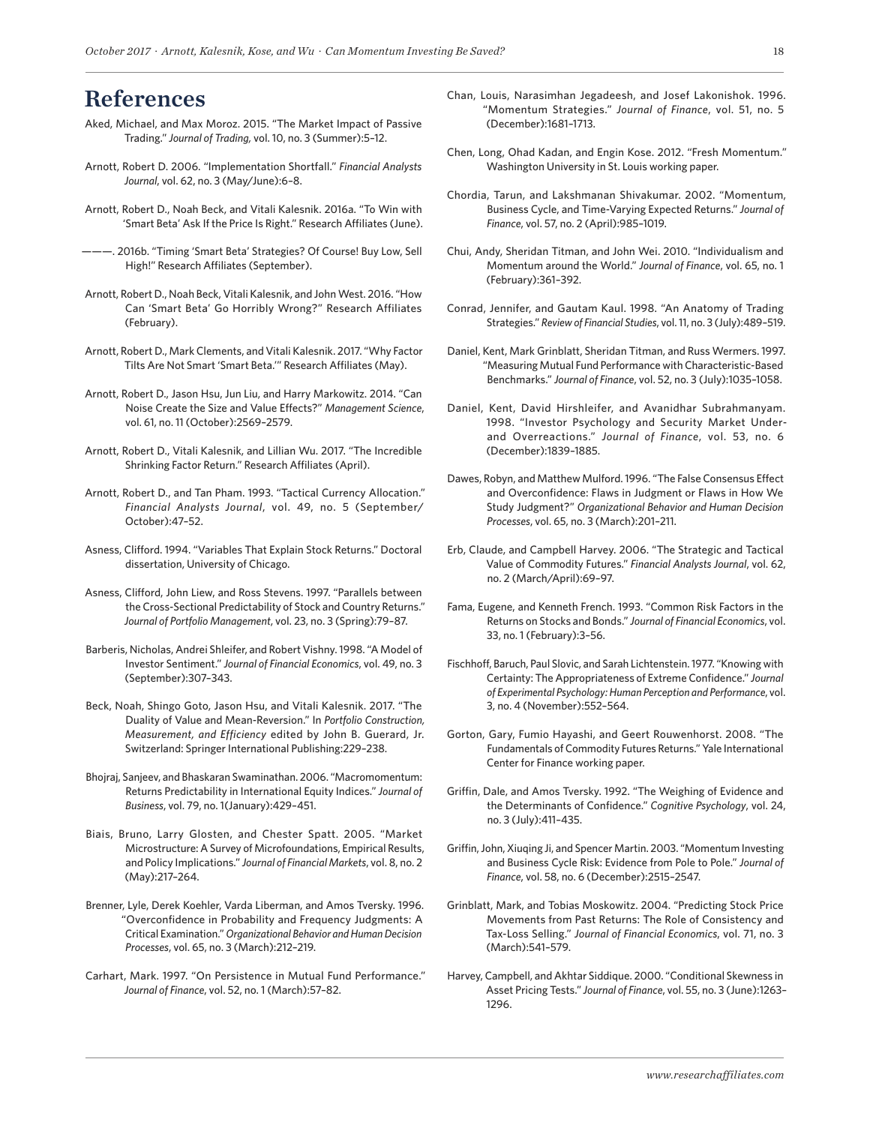## References

- Aked, Michael, and Max Moroz. 2015. "The Market Impact of Passive Trading." *Journal of Trading,* vol. 10, no. 3 (Summer):5–12.
- Arnott, Robert D. 2006. "Implementation Shortfall." *Financial Analysts Journal*, vol. 62, no. 3 (May/June):6–8.
- Arnott, Robert D., Noah Beck, and Vitali Kalesnik. 2016a. "To Win with 'Smart Beta' Ask If the Price Is Right." Research Affiliates (June).
- ———. 2016b. "Timing 'Smart Beta' Strategies? Of Course! Buy Low, Sell High!" Research Affiliates (September).
- Arnott, Robert D., Noah Beck, Vitali Kalesnik, and John West. 2016. "How Can 'Smart Beta' Go Horribly Wrong?" Research Affiliates (February).
- Arnott, Robert D., Mark Clements, and Vitali Kalesnik. 2017. "Why Factor Tilts Are Not Smart 'Smart Beta.'" Research Affiliates (May).
- Arnott, Robert D., Jason Hsu, Jun Liu, and Harry Markowitz. 2014. "Can Noise Create the Size and Value Effects?" *Management Science*, vol. 61, no. 11 (October):2569–2579.
- Arnott, Robert D., Vitali Kalesnik, and Lillian Wu. 2017. "The Incredible Shrinking Factor Return." Research Affiliates (April).
- Arnott, Robert D., and Tan Pham. 1993. "Tactical Currency Allocation." *Financial Analysts Journal*, vol. 49, no. 5 (September/ October):47–52.
- Asness, Clifford. 1994. "Variables That Explain Stock Returns." Doctoral dissertation, University of Chicago.
- Asness, Clifford, John Liew, and Ross Stevens. 1997. "Parallels between the Cross-Sectional Predictability of Stock and Country Returns." *Journal of Portfolio Management*, vol. 23, no. 3 (Spring):79–87.
- Barberis, Nicholas, Andrei Shleifer, and Robert Vishny. 1998. "A Model of Investor Sentiment." *Journal of Financial Economics*, vol. 49, no. 3 (September):307–343.
- Beck, Noah, Shingo Goto, Jason Hsu, and Vitali Kalesnik. 2017. "The Duality of Value and Mean-Reversion." In *Portfolio Construction, Measurement, and Efficiency* edited by John B. Guerard, Jr. Switzerland: Springer International Publishing:229–238.
- Bhojraj, Sanjeev, and Bhaskaran Swaminathan. 2006. "Macromomentum: Returns Predictability in International Equity Indices." *Journal of Business*, vol. 79, no. 1(January):429–451.
- Biais, Bruno, Larry Glosten, and Chester Spatt. 2005. "Market Microstructure: A Survey of Microfoundations, Empirical Results, and Policy Implications." *Journal of Financial Markets*, vol. 8, no. 2 (May):217–264.
- Brenner, Lyle, Derek Koehler, Varda Liberman, and Amos Tversky. 1996. "Overconfidence in Probability and Frequency Judgments: A Critical Examination." *Organizational Behavior and Human Decision Processes*, vol. 65, no. 3 (March):212–219.
- Carhart, Mark. 1997. "On Persistence in Mutual Fund Performance." *Journal of Finance*, vol. 52, no. 1 (March):57–82.
- Chan, Louis, Narasimhan Jegadeesh, and Josef Lakonishok. 1996. "Momentum Strategies." *Journal of Finance*, vol. 51, no. 5 (December):1681–1713.
- Chen, Long, Ohad Kadan, and Engin Kose. 2012. "Fresh Momentum." Washington University in St. Louis working paper.
- Chordia, Tarun, and Lakshmanan Shivakumar. 2002. "Momentum, Business Cycle, and Time-Varying Expected Returns." *Journal of Finance*, vol. 57, no. 2 (April):985–1019.
- Chui, Andy, Sheridan Titman, and John Wei. 2010. "Individualism and Momentum around the World." *Journal of Finance*, vol. 65, no. 1 (February):361–392.
- Conrad, Jennifer, and Gautam Kaul. 1998. "An Anatomy of Trading Strategies." *Review of Financial Studies*, vol. 11, no. 3 (July):489–519.
- Daniel, Kent, Mark Grinblatt, Sheridan Titman, and Russ Wermers. 1997. "Measuring Mutual Fund Performance with Characteristic-Based Benchmarks." *Journal of Finance*, vol. 52, no. 3 (July):1035–1058.
- Daniel, Kent, David Hirshleifer, and Avanidhar Subrahmanyam. 1998. "Investor Psychology and Security Market Underand Overreactions." *Journal of Finance*, vol. 53, no. 6 (December):1839–1885.
- Dawes, Robyn, and Matthew Mulford. 1996. "The False Consensus Effect and Overconfidence: Flaws in Judgment or Flaws in How We Study Judgment?" *Organizational Behavior and Human Decision Processes*, vol. 65, no. 3 (March):201–211.
- Erb, Claude, and Campbell Harvey. 2006. "The Strategic and Tactical Value of Commodity Futures." *Financial Analysts Journal*, vol. 62, no. 2 (March/April):69–97.
- Fama, Eugene, and Kenneth French. 1993. "Common Risk Factors in the Returns on Stocks and Bonds." *Journal of Financial Economics*, vol. 33, no. 1 (February):3–56.
- Fischhoff, Baruch, Paul Slovic, and Sarah Lichtenstein. 1977. "Knowing with Certainty: The Appropriateness of Extreme Confidence." *Journal of Experimental Psychology: Human Perception and Performance*, vol. 3, no. 4 (November):552–564.
- Gorton, Gary, Fumio Hayashi, and Geert Rouwenhorst. 2008. "The Fundamentals of Commodity Futures Returns." Yale International Center for Finance working paper.
- Griffin, Dale, and Amos Tversky. 1992. "The Weighing of Evidence and the Determinants of Confidence." *Cognitive Psychology*, vol. 24, no. 3 (July):411–435.
- Griffin, John, Xiuqing Ji, and Spencer Martin. 2003. "Momentum Investing and Business Cycle Risk: Evidence from Pole to Pole." *Journal of Finance*, vol. 58, no. 6 (December):2515–2547.
- Grinblatt, Mark, and Tobias Moskowitz. 2004. "Predicting Stock Price Movements from Past Returns: The Role of Consistency and Tax-Loss Selling." *Journal of Financial Economics*, vol. 71, no. 3 (March):541–579.
- Harvey, Campbell, and Akhtar Siddique. 2000. "Conditional Skewness in Asset Pricing Tests." *Journal of Finance*, vol. 55, no. 3 (June):1263– 1296.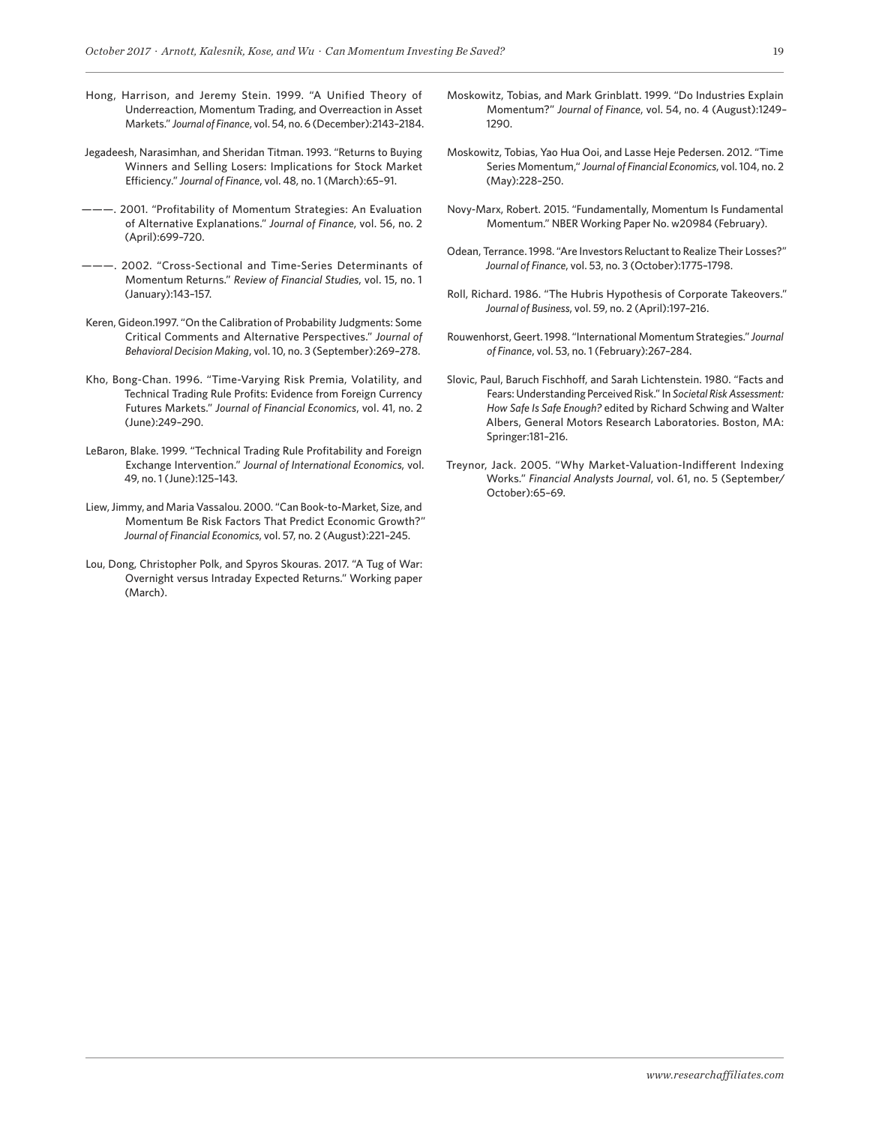- Hong, Harrison, and Jeremy Stein. 1999. "A Unified Theory of Underreaction, Momentum Trading, and Overreaction in Asset Markets." *Journal of Finance*, vol. 54, no. 6 (December):2143–2184.
- Jegadeesh, Narasimhan, and Sheridan Titman. 1993. "Returns to Buying Winners and Selling Losers: Implications for Stock Market Efficiency." *Journal of Finance*, vol. 48, no. 1 (March):65–91.
- -- 2001. "Profitability of Momentum Strategies: An Evaluation of Alternative Explanations." *Journal of Finance*, vol. 56, no. 2 (April):699–720.
- ———. 2002. "Cross-Sectional and Time-Series Determinants of Momentum Returns." *Review of Financial Studies*, vol. 15, no. 1 (January):143–157.
- Keren, Gideon.1997. "On the Calibration of Probability Judgments: Some Critical Comments and Alternative Perspectives." *Journal of Behavioral Decision Making*, vol. 10, no. 3 (September):269–278.
- Kho, Bong-Chan. 1996. "Time-Varying Risk Premia, Volatility, and Technical Trading Rule Profits: Evidence from Foreign Currency Futures Markets." *Journal of Financial Economics*, vol. 41, no. 2 (June):249–290.
- LeBaron, Blake. 1999. "Technical Trading Rule Profitability and Foreign Exchange Intervention." *Journal of International Economics*, vol. 49, no. 1 (June):125–143.
- Liew, Jimmy, and Maria Vassalou. 2000. "Can Book-to-Market, Size, and Momentum Be Risk Factors That Predict Economic Growth?" *Journal of Financial Economics*, vol. 57, no. 2 (August):221–245.
- Lou, Dong, Christopher Polk, and Spyros Skouras. 2017. "A Tug of War: Overnight versus Intraday Expected Returns." Working paper (March).
- Moskowitz, Tobias, and Mark Grinblatt. 1999. "Do Industries Explain Momentum?" *Journal of Finance*, vol. 54, no. 4 (August):1249– 1290.
- Moskowitz, Tobias, Yao Hua Ooi, and Lasse Heje Pedersen. 2012. "Time Series Momentum," *Journal of Financial Economics*, vol. 104, no. 2 (May):228–250.
- Novy-Marx, Robert. 2015. "Fundamentally, Momentum Is Fundamental Momentum." NBER Working Paper No. w20984 (February).
- Odean, Terrance. 1998. "Are Investors Reluctant to Realize Their Losses?" *Journal of Finance*, vol. 53, no. 3 (October):1775–1798.
- Roll, Richard. 1986. "The Hubris Hypothesis of Corporate Takeovers." *Journal of Business*, vol. 59, no. 2 (April):197–216.
- Rouwenhorst, Geert. 1998. "International Momentum Strategies." *Journal of Finance*, vol. 53, no. 1 (February):267–284.
- Slovic, Paul, Baruch Fischhoff, and Sarah Lichtenstein. 1980. "Facts and Fears: Understanding Perceived Risk." In *Societal Risk Assessment: How Safe Is Safe Enough?* edited by Richard Schwing and Walter Albers, General Motors Research Laboratories. Boston, MA: Springer:181–216.
- Treynor, Jack. 2005. "Why Market-Valuation-Indifferent Indexing Works." *Financial Analysts Journal*, vol. 61, no. 5 (September/ October):65–69.